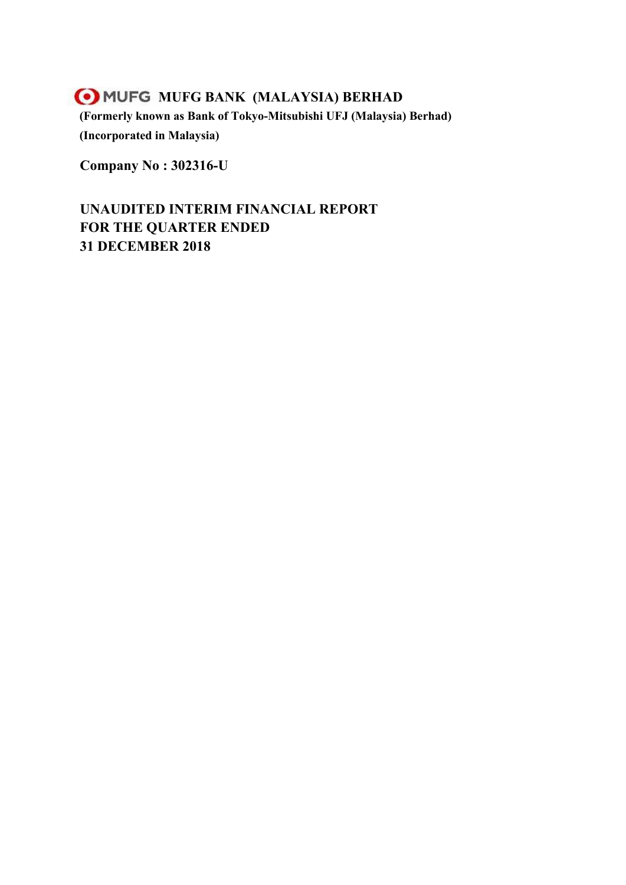# **MUFG MUFG BANK (MALAYSIA) BERHAD (Formerly known as Bank of Tokyo-Mitsubishi UFJ (Malaysia) Berhad) (Incorporated in Malaysia)**

**Company No : 302316-U**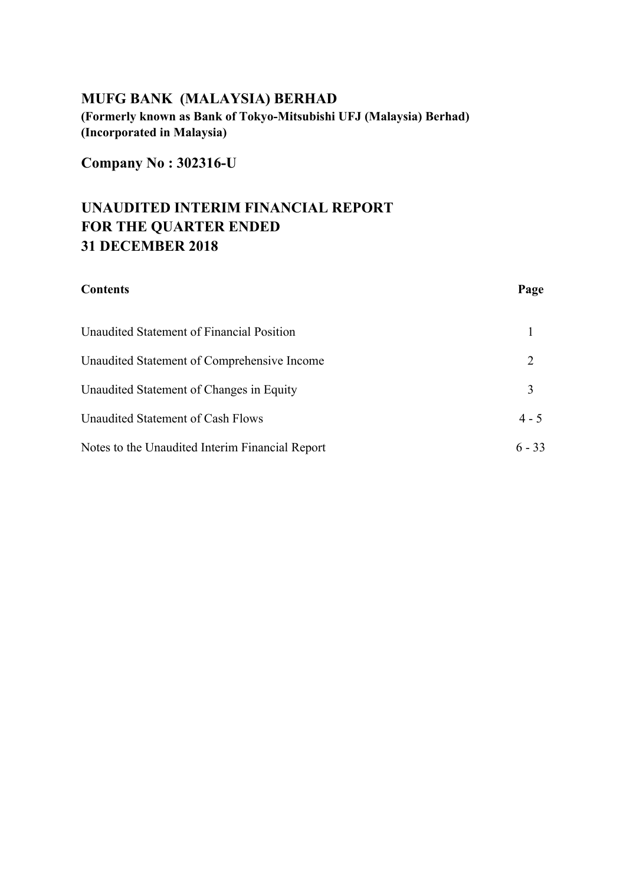# **MUFG BANK (MALAYSIA) BERHAD (Formerly known as Bank of Tokyo-Mitsubishi UFJ (Malaysia) Berhad)**

**(Incorporated in Malaysia)**

**Company No : 302316-U**

| <b>Contents</b>                                 | Page     |
|-------------------------------------------------|----------|
| Unaudited Statement of Financial Position       |          |
| Unaudited Statement of Comprehensive Income     | 2        |
| Unaudited Statement of Changes in Equity        | 3        |
| Unaudited Statement of Cash Flows               | $4 - 5$  |
| Notes to the Unaudited Interim Financial Report | $6 - 33$ |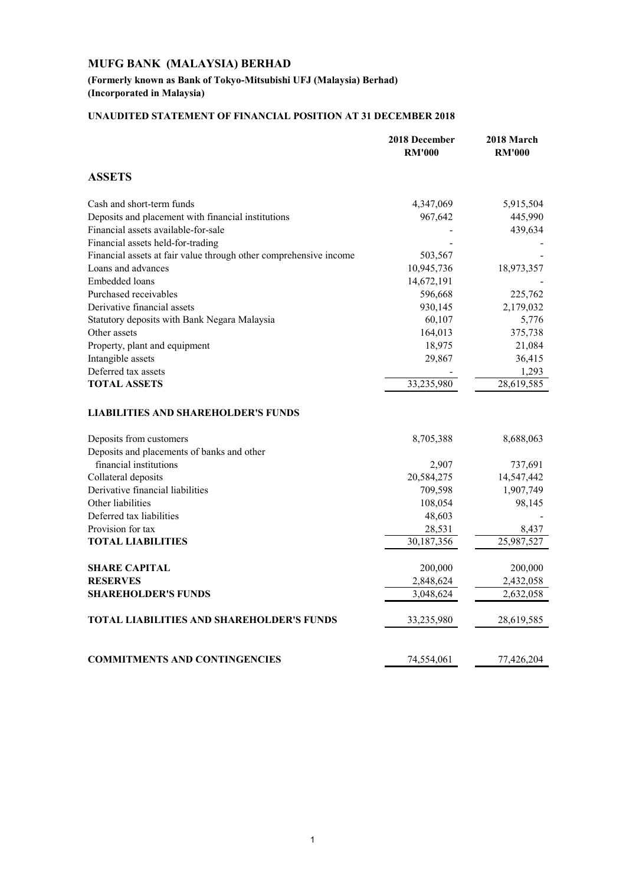## **(Formerly known as Bank of Tokyo-Mitsubishi UFJ (Malaysia) Berhad) (Incorporated in Malaysia)**

## **UNAUDITED STATEMENT OF FINANCIAL POSITION AT 31 DECEMBER 2018**

|                                                                   | 2018 December<br><b>RM'000</b> | 2018 March<br><b>RM'000</b> |
|-------------------------------------------------------------------|--------------------------------|-----------------------------|
| <b>ASSETS</b>                                                     |                                |                             |
| Cash and short-term funds                                         | 4,347,069                      | 5,915,504                   |
| Deposits and placement with financial institutions                | 967,642                        | 445,990                     |
| Financial assets available-for-sale                               |                                | 439,634                     |
| Financial assets held-for-trading                                 |                                |                             |
| Financial assets at fair value through other comprehensive income | 503,567                        |                             |
| Loans and advances                                                | 10,945,736                     | 18,973,357                  |
| Embedded loans                                                    | 14,672,191                     |                             |
| Purchased receivables                                             | 596,668                        | 225,762                     |
| Derivative financial assets                                       | 930,145                        | 2,179,032                   |
| Statutory deposits with Bank Negara Malaysia                      | 60,107                         | 5,776                       |
| Other assets                                                      | 164,013                        | 375,738                     |
| Property, plant and equipment                                     | 18,975                         | 21,084                      |
| Intangible assets                                                 | 29,867                         | 36,415                      |
| Deferred tax assets                                               |                                | 1,293                       |
| <b>TOTAL ASSETS</b>                                               | 33,235,980                     | 28,619,585                  |
| <b>LIABILITIES AND SHAREHOLDER'S FUNDS</b>                        |                                |                             |
| Deposits from customers                                           | 8,705,388                      | 8,688,063                   |
| Deposits and placements of banks and other                        |                                |                             |
| financial institutions                                            | 2,907                          | 737,691                     |
| Collateral deposits                                               | 20,584,275                     | 14,547,442                  |
| Derivative financial liabilities                                  | 709,598                        | 1,907,749                   |
| Other liabilities                                                 | 108,054                        | 98,145                      |
| Deferred tax liabilities                                          | 48,603                         |                             |
| Provision for tax                                                 | 28,531                         | 8,437                       |
| <b>TOTAL LIABILITIES</b>                                          | 30,187,356                     | 25,987,527                  |
| <b>SHARE CAPITAL</b>                                              | 200,000                        | 200,000                     |
| <b>RESERVES</b>                                                   | 2,848,624                      | 2,432,058                   |
| <b>SHAREHOLDER'S FUNDS</b>                                        | 3,048,624                      | 2,632,058                   |
|                                                                   |                                |                             |
| <b>TOTAL LIABILITIES AND SHAREHOLDER'S FUNDS</b>                  | 33,235,980                     | 28,619,585                  |
| <b>COMMITMENTS AND CONTINGENCIES</b>                              | 74,554,061                     | 77,426,204                  |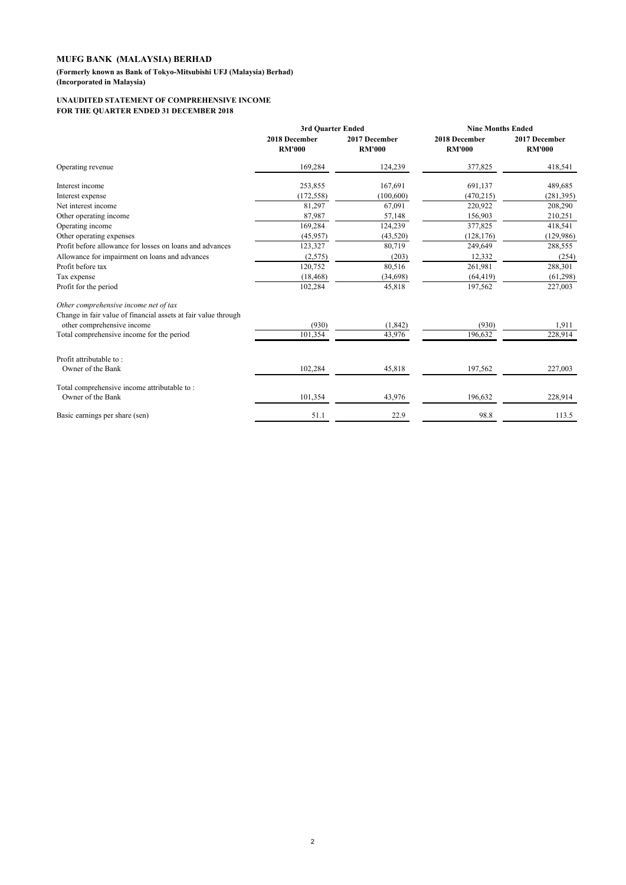**(Formerly known as Bank of Tokyo-Mitsubishi UFJ (Malaysia) Berhad)**

**(Incorporated in Malaysia)**

#### **UNAUDITED STATEMENT OF COMPREHENSIVE INCOME FOR THE QUARTER ENDED 31 DECEMBER 2018**

|                                                                | 3rd Ouarter Ended              |                                | <b>Nine Months Ended</b>       |                                |
|----------------------------------------------------------------|--------------------------------|--------------------------------|--------------------------------|--------------------------------|
|                                                                | 2018 December<br><b>RM'000</b> | 2017 December<br><b>RM'000</b> | 2018 December<br><b>RM'000</b> | 2017 December<br><b>RM'000</b> |
| Operating revenue                                              | 169,284                        | 124,239                        | 377,825                        | 418,541                        |
| Interest income                                                | 253,855                        | 167,691                        | 691,137                        | 489,685                        |
| Interest expense                                               | (172, 558)                     | (100, 600)                     | (470, 215)                     | (281, 395)                     |
| Net interest income                                            | 81,297                         | 67,091                         | 220,922                        | 208,290                        |
| Other operating income                                         | 87,987                         | 57,148                         | 156,903                        | 210,251                        |
| Operating income                                               | 169,284                        | 124,239                        | 377,825                        | 418,541                        |
| Other operating expenses                                       | (45, 957)                      | (43,520)                       | (128, 176)                     | (129, 986)                     |
| Profit before allowance for losses on loans and advances       | 123,327                        | 80,719                         | 249,649                        | 288,555                        |
| Allowance for impairment on loans and advances                 | (2,575)                        | (203)                          | 12,332                         | (254)                          |
| Profit before tax                                              | 120,752                        | 80,516                         | 261,981                        | 288,301                        |
| Tax expense                                                    | (18, 468)                      | (34, 698)                      | (64, 419)                      | (61, 298)                      |
| Profit for the period                                          | 102,284                        | 45,818                         | 197,562                        | 227,003                        |
| Other comprehensive income net of tax                          |                                |                                |                                |                                |
| Change in fair value of financial assets at fair value through |                                |                                |                                |                                |
| other comprehensive income                                     | (930)                          | (1, 842)                       | (930)                          | 1,911                          |
| Total comprehensive income for the period                      | 101,354                        | 43,976                         | 196,632                        | 228,914                        |
| Profit attributable to:                                        |                                |                                |                                |                                |
| Owner of the Bank                                              | 102,284                        | 45,818                         | 197,562                        | 227,003                        |
| Total comprehensive income attributable to:                    |                                |                                |                                |                                |
| Owner of the Bank                                              | 101,354                        | 43,976                         | 196,632                        | 228,914                        |
| Basic earnings per share (sen)                                 | 51.1                           | 22.9                           | 98.8                           | 113.5                          |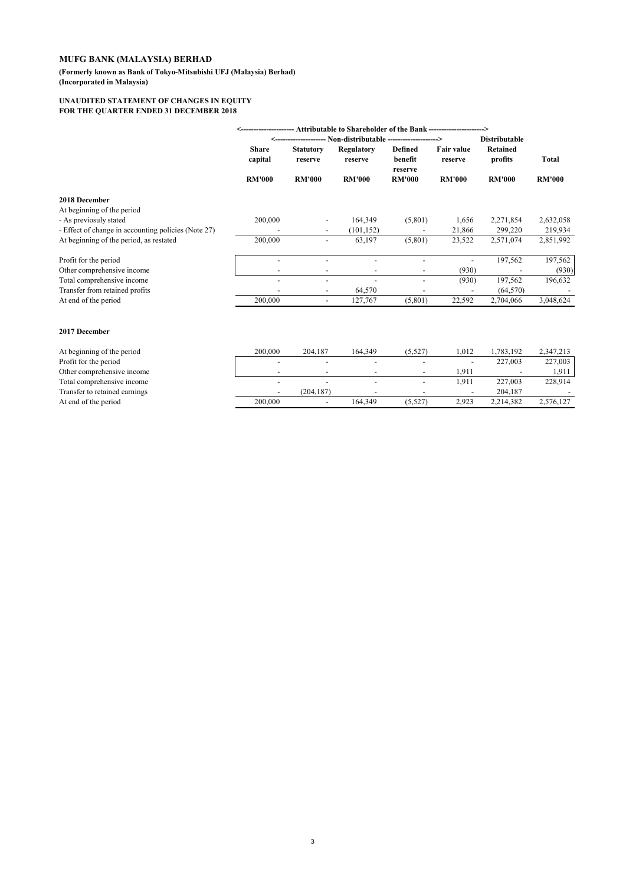**(Formerly known as Bank of Tokyo-Mitsubishi UFJ (Malaysia) Berhad) (Incorporated in Malaysia)**

#### **UNAUDITED STATEMENT OF CHANGES IN EQUITY FOR THE QUARTER ENDED 31 DECEMBER 2018**

|                                                     | Attributable to Shareholder of the Bank ----------------------> |                              |                       |                               |                              |                            |               |
|-----------------------------------------------------|-----------------------------------------------------------------|------------------------------|-----------------------|-------------------------------|------------------------------|----------------------------|---------------|
|                                                     |                                                                 |                              |                       |                               | <b>Distributable</b>         |                            |               |
|                                                     | <b>Share</b><br>capital                                         | <b>Statutory</b><br>reserve  | Regulatory<br>reserve | Defined<br>benefit<br>reserve | <b>Fair value</b><br>reserve | <b>Retained</b><br>profits | <b>Total</b>  |
|                                                     | <b>RM'000</b>                                                   | <b>RM'000</b>                | <b>RM'000</b>         | <b>RM'000</b>                 | <b>RM'000</b>                | <b>RM'000</b>              | <b>RM'000</b> |
| 2018 December                                       |                                                                 |                              |                       |                               |                              |                            |               |
| At beginning of the period                          |                                                                 |                              |                       |                               |                              |                            |               |
| - As previosuly stated                              | 200,000                                                         | -                            | 164,349               | (5,801)                       | 1,656                        | 2,271,854                  | 2,632,058     |
| - Effect of change in accounting policies (Note 27) |                                                                 | $\overline{\phantom{a}}$     | (101, 152)            |                               | 21,866                       | 299,220                    | 219,934       |
| At beginning of the period, as restated             | 200,000                                                         | -                            | 63,197                | (5,801)                       | 23,522                       | 2,571,074                  | 2,851,992     |
| Profit for the period                               |                                                                 |                              |                       |                               |                              | 197,562                    | 197,562       |
| Other comprehensive income                          |                                                                 | $\qquad \qquad \blacksquare$ |                       |                               | (930)                        |                            | (930)         |
| Total comprehensive income                          |                                                                 | $\overline{\phantom{0}}$     |                       |                               | (930)                        | 197,562                    | 196,632       |
| Transfer from retained profits                      |                                                                 | $\overline{\phantom{a}}$     | 64,570                | $\overline{\phantom{a}}$      |                              | (64, 570)                  |               |
| At end of the period                                | 200,000                                                         | -                            | 127,767               | (5,801)                       | 22,592                       | 2,704,066                  | 3,048,624     |
|                                                     |                                                                 |                              |                       |                               |                              |                            |               |
| 2017 December                                       |                                                                 |                              |                       |                               |                              |                            |               |

| At beginning of the period    | 200.000 | 204.187                  | 164.349 | (5.527)                  | .012                     | .783.192  | 2,347,213 |
|-------------------------------|---------|--------------------------|---------|--------------------------|--------------------------|-----------|-----------|
| Profit for the period         |         | $\overline{\phantom{0}}$ | -       |                          | $\overline{\phantom{a}}$ | 227.003   | 227,003   |
| Other comprehensive income    |         |                          |         |                          | 1.911                    |           | 1,911     |
| Total comprehensive income    |         | $\overline{\phantom{0}}$ |         | $\overline{\phantom{a}}$ | 1.911                    | 227,003   | 228,914   |
| Transfer to retained earnings |         | (204.187)                |         |                          |                          | 204.187   |           |
| At end of the period          | 200,000 | $\overline{\phantom{0}}$ | 164.349 | (5.527)                  | 2.923                    | 2.214.382 | 2,576,127 |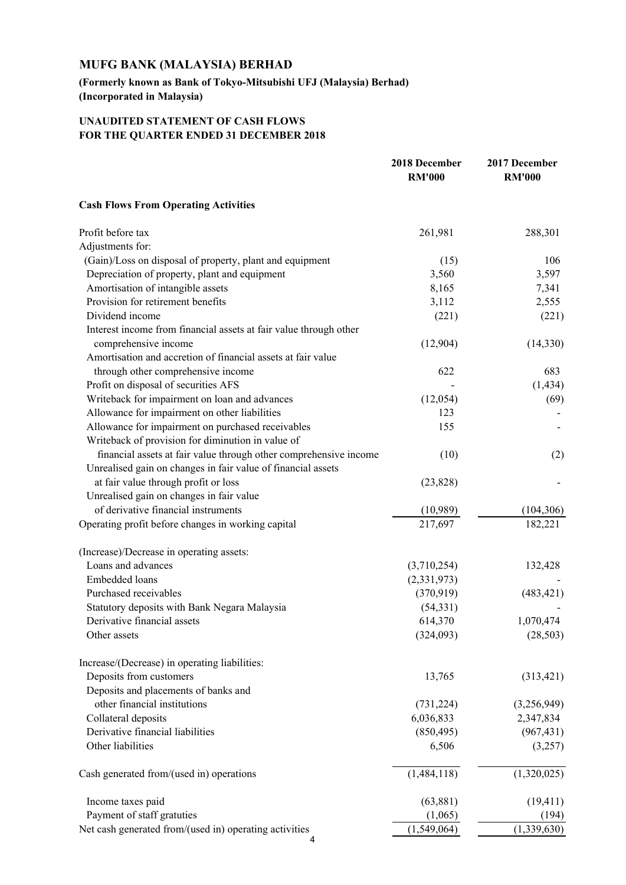**(Formerly known as Bank of Tokyo-Mitsubishi UFJ (Malaysia) Berhad) (Incorporated in Malaysia)**

## **UNAUDITED STATEMENT OF CASH FLOWS FOR THE QUARTER ENDED 31 DECEMBER 2018**

|                                                                   | 2018 December<br><b>RM'000</b> | 2017 December<br><b>RM'000</b> |
|-------------------------------------------------------------------|--------------------------------|--------------------------------|
| <b>Cash Flows From Operating Activities</b>                       |                                |                                |
| Profit before tax                                                 | 261,981                        | 288,301                        |
| Adjustments for:                                                  |                                |                                |
| (Gain)/Loss on disposal of property, plant and equipment          | (15)                           | 106                            |
| Depreciation of property, plant and equipment                     | 3,560                          | 3,597                          |
| Amortisation of intangible assets                                 | 8,165                          | 7,341                          |
| Provision for retirement benefits                                 | 3,112                          | 2,555                          |
| Dividend income                                                   | (221)                          | (221)                          |
| Interest income from financial assets at fair value through other |                                |                                |
| comprehensive income                                              | (12,904)                       | (14,330)                       |
| Amortisation and accretion of financial assets at fair value      |                                |                                |
| through other comprehensive income                                | 622                            | 683                            |
| Profit on disposal of securities AFS                              |                                | (1, 434)                       |
| Writeback for impairment on loan and advances                     | (12,054)                       | (69)                           |
| Allowance for impairment on other liabilities                     | 123                            |                                |
| Allowance for impairment on purchased receivables                 | 155                            |                                |
| Writeback of provision for diminution in value of                 |                                |                                |
| financial assets at fair value through other comprehensive income | (10)                           | (2)                            |
| Unrealised gain on changes in fair value of financial assets      |                                |                                |
| at fair value through profit or loss                              | (23, 828)                      |                                |
| Unrealised gain on changes in fair value                          |                                |                                |
| of derivative financial instruments                               | (10,989)                       | (104, 306)                     |
| Operating profit before changes in working capital                | 217,697                        | 182,221                        |
| (Increase)/Decrease in operating assets:                          |                                |                                |
| Loans and advances                                                | (3,710,254)                    | 132,428                        |
| Embedded loans                                                    | (2, 331, 973)                  |                                |
| Purchased receivables                                             | (370, 919)                     | (483, 421)                     |
| Statutory deposits with Bank Negara Malaysia                      | (54, 331)                      |                                |
| Derivative financial assets                                       | 614,370                        | 1,070,474                      |
| Other assets                                                      | (324,093)                      | (28, 503)                      |
| Increase/(Decrease) in operating liabilities:                     |                                |                                |
| Deposits from customers                                           | 13,765                         | (313, 421)                     |
| Deposits and placements of banks and                              |                                |                                |
| other financial institutions                                      | (731, 224)                     | (3,256,949)                    |
| Collateral deposits                                               | 6,036,833                      | 2,347,834                      |
| Derivative financial liabilities                                  | (850, 495)                     | (967, 431)                     |
| Other liabilities                                                 | 6,506                          | (3,257)                        |
| Cash generated from/(used in) operations                          | (1, 484, 118)                  | (1,320,025)                    |
| Income taxes paid                                                 | (63, 881)                      | (19, 411)                      |
| Payment of staff gratuties                                        | (1,065)                        | (194)                          |
| Net cash generated from/(used in) operating activities            | (1,549,064)                    | (1,339,630)                    |
|                                                                   |                                |                                |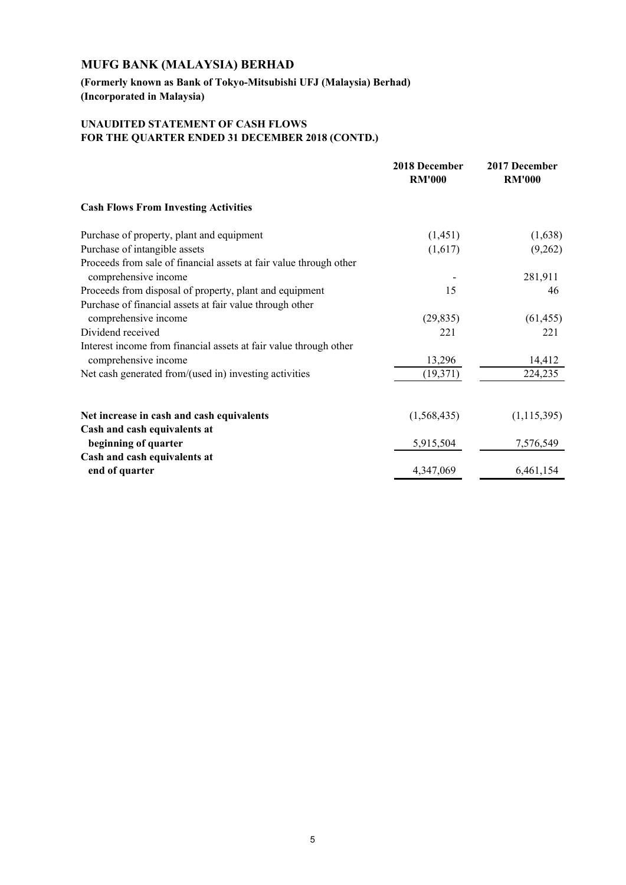**(Formerly known as Bank of Tokyo-Mitsubishi UFJ (Malaysia) Berhad) (Incorporated in Malaysia)**

## **UNAUDITED STATEMENT OF CASH FLOWS FOR THE QUARTER ENDED 31 DECEMBER 2018 (CONTD.)**

|                                                                    | 2018 December<br><b>RM'000</b> | 2017 December<br><b>RM'000</b> |
|--------------------------------------------------------------------|--------------------------------|--------------------------------|
| <b>Cash Flows From Investing Activities</b>                        |                                |                                |
| Purchase of property, plant and equipment                          | (1, 451)                       | (1,638)                        |
| Purchase of intangible assets                                      | (1,617)                        | (9,262)                        |
| Proceeds from sale of financial assets at fair value through other |                                |                                |
| comprehensive income                                               |                                | 281,911                        |
| Proceeds from disposal of property, plant and equipment            | 15                             | 46                             |
| Purchase of financial assets at fair value through other           |                                |                                |
| comprehensive income                                               | (29, 835)                      | (61, 455)                      |
| Dividend received                                                  | 221                            | 221                            |
| Interest income from financial assets at fair value through other  |                                |                                |
| comprehensive income                                               | 13,296                         | 14,412                         |
| Net cash generated from/(used in) investing activities             | (19, 371)                      | 224,235                        |
| Net increase in cash and cash equivalents                          | (1,568,435)                    | (1, 115, 395)                  |
| Cash and cash equivalents at                                       |                                |                                |
| beginning of quarter                                               | 5,915,504                      | 7,576,549                      |
| Cash and cash equivalents at                                       |                                |                                |
| end of quarter                                                     | 4,347,069                      | 6,461,154                      |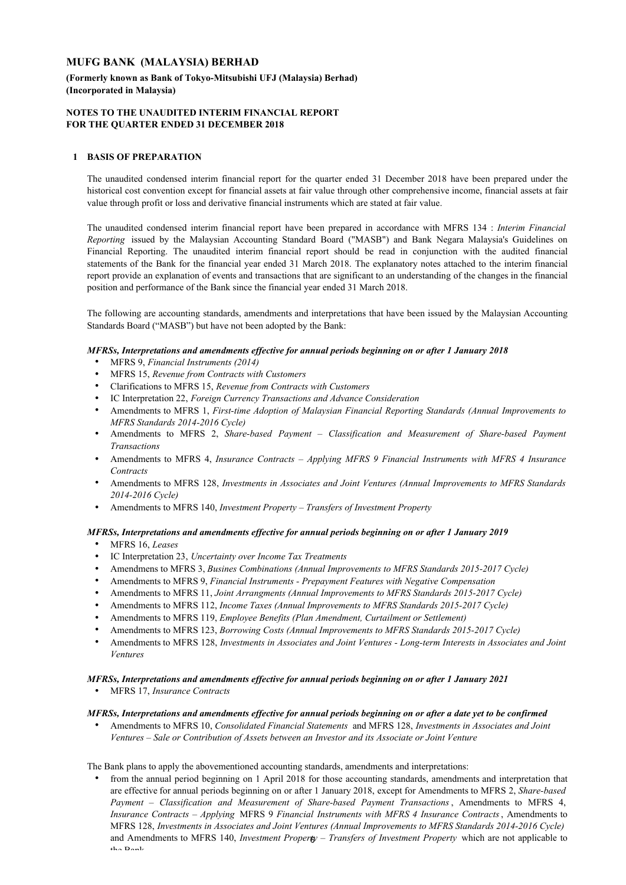## **(Formerly known as Bank of Tokyo-Mitsubishi UFJ (Malaysia) Berhad) (Incorporated in Malaysia)**

#### **NOTES TO THE UNAUDITED INTERIM FINANCIAL REPORT FOR THE QUARTER ENDED 31 DECEMBER 2018**

## **1 BASIS OF PREPARATION**

The unaudited condensed interim financial report for the quarter ended 31 December 2018 have been prepared under the historical cost convention except for financial assets at fair value through other comprehensive income, financial assets at fair value through profit or loss and derivative financial instruments which are stated at fair value.

The unaudited condensed interim financial report have been prepared in accordance with MFRS 134 : *Interim Financial Reporting* issued by the Malaysian Accounting Standard Board ("MASB") and Bank Negara Malaysia's Guidelines on Financial Reporting. The unaudited interim financial report should be read in conjunction with the audited financial statements of the Bank for the financial year ended 31 March 2018. The explanatory notes attached to the interim financial report provide an explanation of events and transactions that are significant to an understanding of the changes in the financial position and performance of the Bank since the financial year ended 31 March 2018.

The following are accounting standards, amendments and interpretations that have been issued by the Malaysian Accounting Standards Board ("MASB") but have not been adopted by the Bank:

#### *MFRSs, Interpretations and amendments effective for annual periods beginning on or after 1 January 2018*

- MFRS 9, *Financial Instruments (2014)*
- MFRS 15, *Revenue from Contracts with Customers*
- Clarifications to MFRS 15, *Revenue from Contracts with Customers*
- IC Interpretation 22, *Foreign Currency Transactions and Advance Consideration*
- Amendments to MFRS 1, *First-time Adoption of Malaysian Financial Reporting Standards (Annual Improvements to MFRS Standards 2014-2016 Cycle)*
- Amendments to MFRS 2, *Share-based Payment Classification and Measurement of Share-based Payment Transactions*
- . Amendments to MFRS 4, *Insurance Contracts – Applying MFRS 9 Financial Instruments with MFRS 4 Insurance Contracts*
- . Amendments to MFRS 128, *Investments in Associates and Joint Ventures (Annual Improvements to MFRS Standards 2014-2016 Cycle)*
- Amendments to MFRS 140, *Investment Property Transfers of Investment Property*

#### *MFRSs, Interpretations and amendments effective for annual periods beginning on or after 1 January 2019*

- MFRS 16, *Leases*
- IC Interpretation 23, *Uncertainty over Income Tax Treatments*
- Amendmens to MFRS 3, *Busines Combinations (Annual Improvements to MFRS Standards 2015-2017 Cycle)*
- Amendments to MFRS 9, *Financial Instruments Prepayment Features with Negative Compensation*
- Amendments to MFRS 11, *Joint Arrangments (Annual Improvements to MFRS Standards 2015-2017 Cycle)*
- Amendments to MFRS 112, *Income Taxes (Annual Improvements to MFRS Standards 2015-2017 Cycle)*
- Amendments to MFRS 119, *Employee Benefits (Plan Amendment, Curtailment or Settlement)*
- Amendments to MFRS 123, *Borrowing Costs (Annual Improvements to MFRS Standards 2015-2017 Cycle)*
- . Amendments to MFRS 128, *Investments in Associates and Joint Ventures - Long-term Interests in Associates and Joint Ventures*

#### *MFRSs, Interpretations and amendments effective for annual periods beginning on or after 1 January 2021*

MFRS 17, *Insurance Contracts*

#### *MFRSs, Interpretations and amendments effective for annual periods beginning on or after a date yet to be confirmed*

 $\bullet$ Amendments to MFRS 10, *Consolidated Financial Statements* and MFRS 128, *Investments in Associates and Joint Ventures – Sale or Contribution of Assets between an Investor and its Associate or Joint Venture*

The Bank plans to apply the abovementioned accounting standards, amendments and interpretations:

 from the annual period beginning on 1 April 2018 for those accounting standards, amendments and interpretation that are effective for annual periods beginning on or after 1 January 2018, except for Amendments to MFRS 2, *Share-based Payment – Classification and Measurement of Share-based Payment Transactions* , Amendments to MFRS 4, *Insurance Contracts – Applying* MFRS 9 *Financial Instruments with MFRS 4 Insurance Contracts*, Amendments to MFRS 128, *Investments in Associates and Joint Ventures (Annual Improvements to MFRS Standards 2014-2016 Cycle)*  and Amendments to MFRS 140, *Investment Property – Transfers of Investment Property* which are not applicable to the Bank.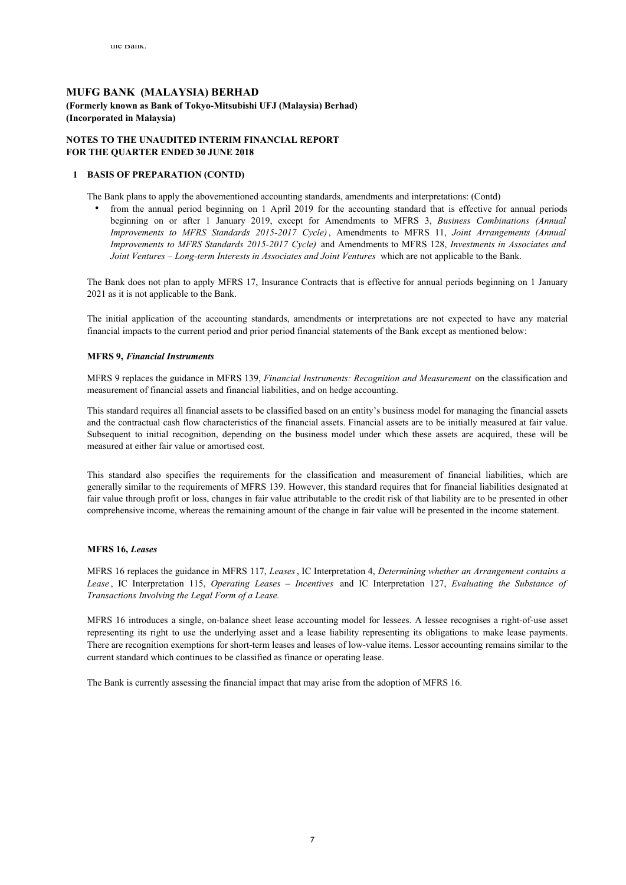## **MUFG BANK (MALAYSIA) BERHAD (Formerly known as Bank of Tokyo-Mitsubishi UFJ (Malaysia) Berhad) (Incorporated in Malaysia)**

### **NOTES TO THE UNAUDITED INTERIM FINANCIAL REPORT FOR THE QUARTER ENDED 30 JUNE 2018**

#### **1 BASIS OF PREPARATION (CONTD)**

The Bank plans to apply the abovementioned accounting standards, amendments and interpretations: (Contd)

. from the annual period beginning on 1 April 2019 for the accounting standard that is effective for annual periods beginning on or after 1 January 2019, except for Amendments to MFRS 3, *Business Combinations (Annual Improvements to MFRS Standards 2015-2017 Cycle)*, Amendments to MFRS 11, *Joint Arrangements (Annual Improvements to MFRS Standards 2015-2017 Cycle)* and Amendments to MFRS 128, *Investments in Associates and Joint Ventures – Long-term Interests in Associates and Joint Ventures* which are not applicable to the Bank.

The Bank does not plan to apply MFRS 17, Insurance Contracts that is effective for annual periods beginning on 1 January 2021 as it is not applicable to the Bank.

The initial application of the accounting standards, amendments or interpretations are not expected to have any material financial impacts to the current period and prior period financial statements of the Bank except as mentioned below:

#### **MFRS 9,** *Financial Instruments*

MFRS 9 replaces the guidance in MFRS 139, *Financial Instruments: Recognition and Measurement* on the classification and measurement of financial assets and financial liabilities, and on hedge accounting.

This standard requires all financial assets to be classified based on an entity's business model for managing the financial assets and the contractual cash flow characteristics of the financial assets. Financial assets are to be initially measured at fair value. Subsequent to initial recognition, depending on the business model under which these assets are acquired, these will be measured at either fair value or amortised cost.

This standard also specifies the requirements for the classification and measurement of financial liabilities, which are generally similar to the requirements of MFRS 139. However, this standard requires that for financial liabilities designated at fair value through profit or loss, changes in fair value attributable to the credit risk of that liability are to be presented in other comprehensive income, whereas the remaining amount of the change in fair value will be presented in the income statement.

#### **MFRS 16,** *Leases*

MFRS 16 replaces the guidance in MFRS 117, *Leases*, IC Interpretation 4, *Determining whether an Arrangement contains a Lease* , IC Interpretation 115, *Operating Leases – Incentives* and IC Interpretation 127, *Evaluating the Substance of Transactions Involving the Legal Form of a Lease.*

MFRS 16 introduces a single, on-balance sheet lease accounting model for lessees. A lessee recognises a right-of-use asset representing its right to use the underlying asset and a lease liability representing its obligations to make lease payments. There are recognition exemptions for short-term leases and leases of low-value items. Lessor accounting remains similar to the current standard which continues to be classified as finance or operating lease.

The Bank is currently assessing the financial impact that may arise from the adoption of MFRS 16.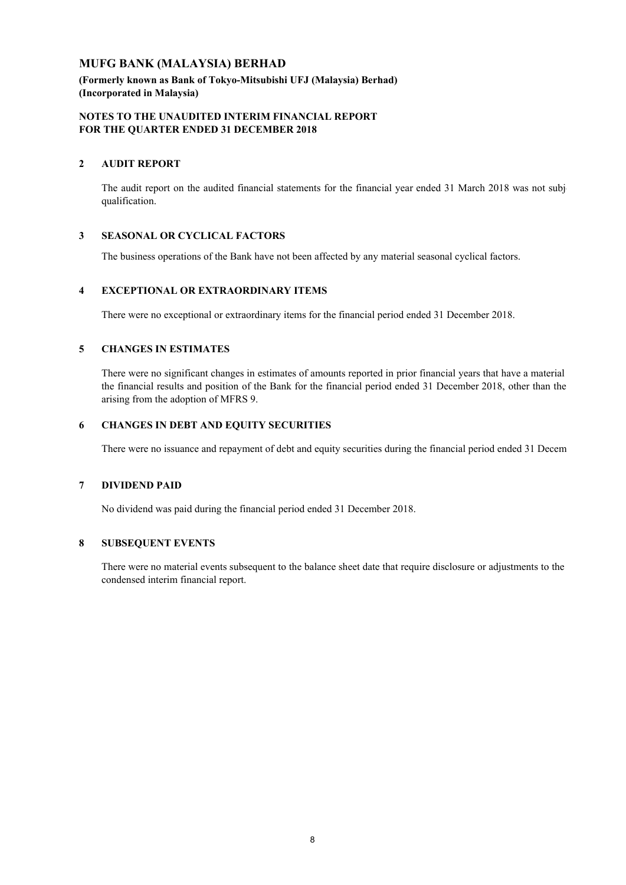**(Formerly known as Bank of Tokyo-Mitsubishi UFJ (Malaysia) Berhad) (Incorporated in Malaysia)**

## **NOTES TO THE UNAUDITED INTERIM FINANCIAL REPORT FOR THE QUARTER ENDED 31 DECEMBER 2018**

## **2 AUDIT REPORT**

The audit report on the audited financial statements for the financial year ended 31 March 2018 was not subj qualification.

## **3 SEASONAL OR CYCLICAL FACTORS**

The business operations of the Bank have not been affected by any material seasonal cyclical factors.

## **4 EXCEPTIONAL OR EXTRAORDINARY ITEMS**

There were no exceptional or extraordinary items for the financial period ended 31 December 2018.

## **5 CHANGES IN ESTIMATES**

There were no significant changes in estimates of amounts reported in prior financial years that have a material the financial results and position of the Bank for the financial period ended 31 December 2018, other than the arising from the adoption of MFRS 9.

## **6 CHANGES IN DEBT AND EQUITY SECURITIES**

There were no issuance and repayment of debt and equity securities during the financial period ended 31 Decem

## **7 DIVIDEND PAID**

No dividend was paid during the financial period ended 31 December 2018.

## **8 SUBSEQUENT EVENTS**

There were no material events subsequent to the balance sheet date that require disclosure or adjustments to the condensed interim financial report.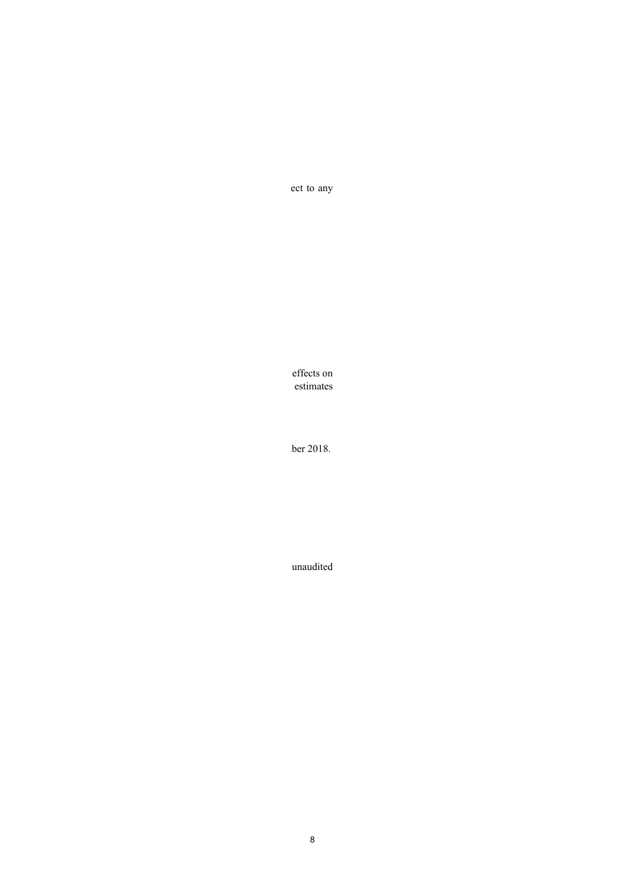ect to any

effects on estimates

 $\Delta$  is subset and represent of debt and  $\Delta$  December 2018.

unaudited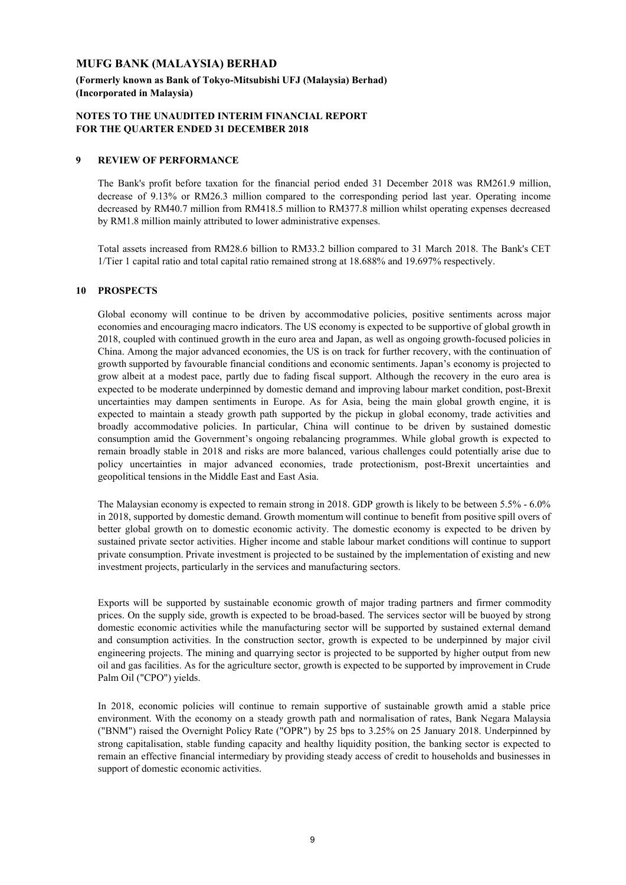**(Formerly known as Bank of Tokyo-Mitsubishi UFJ (Malaysia) Berhad) (Incorporated in Malaysia)**

## **NOTES TO THE UNAUDITED INTERIM FINANCIAL REPORT FOR THE QUARTER ENDED 31 DECEMBER 2018**

### **9 REVIEW OF PERFORMANCE**

The Bank's profit before taxation for the financial period ended 31 December 2018 was RM261.9 million, decrease of 9.13% or RM26.3 million compared to the corresponding period last year. Operating income decreased by RM40.7 million from RM418.5 million to RM377.8 million whilst operating expenses decreased by RM1.8 million mainly attributed to lower administrative expenses.

Total assets increased from RM28.6 billion to RM33.2 billion compared to 31 March 2018. The Bank's CET 1/Tier 1 capital ratio and total capital ratio remained strong at 18.688% and 19.697% respectively.

### **10 PROSPECTS**

Global economy will continue to be driven by accommodative policies, positive sentiments across major economies and encouraging macro indicators. The US economy is expected to be supportive of global growth in 2018, coupled with continued growth in the euro area and Japan, as well as ongoing growth-focused policies in China. Among the major advanced economies, the US is on track for further recovery, with the continuation of growth supported by favourable financial conditions and economic sentiments. Japan's economy is projected to grow albeit at a modest pace, partly due to fading fiscal support. Although the recovery in the euro area is expected to be moderate underpinned by domestic demand and improving labour market condition, post-Brexit uncertainties may dampen sentiments in Europe. As for Asia, being the main global growth engine, it is expected to maintain a steady growth path supported by the pickup in global economy, trade activities and broadly accommodative policies. In particular, China will continue to be driven by sustained domestic consumption amid the Government's ongoing rebalancing programmes. While global growth is expected to remain broadly stable in 2018 and risks are more balanced, various challenges could potentially arise due to policy uncertainties in major advanced economies, trade protectionism, post-Brexit uncertainties and geopolitical tensions in the Middle East and East Asia.

The Malaysian economy is expected to remain strong in 2018. GDP growth is likely to be between 5.5% - 6.0% in 2018, supported by domestic demand. Growth momentum will continue to benefit from positive spill overs of better global growth on to domestic economic activity. The domestic economy is expected to be driven by sustained private sector activities. Higher income and stable labour market conditions will continue to support private consumption. Private investment is projected to be sustained by the implementation of existing and new investment projects, particularly in the services and manufacturing sectors.

Exports will be supported by sustainable economic growth of major trading partners and firmer commodity prices. On the supply side, growth is expected to be broad-based. The services sector will be buoyed by strong domestic economic activities while the manufacturing sector will be supported by sustained external demand and consumption activities. In the construction sector, growth is expected to be underpinned by major civil engineering projects. The mining and quarrying sector is projected to be supported by higher output from new oil and gas facilities. As for the agriculture sector, growth is expected to be supported by improvement in Crude Palm Oil ("CPO") yields.

In 2018, economic policies will continue to remain supportive of sustainable growth amid a stable price environment. With the economy on a steady growth path and normalisation of rates, Bank Negara Malaysia ("BNM") raised the Overnight Policy Rate ("OPR") by 25 bps to 3.25% on 25 January 2018. Underpinned by strong capitalisation, stable funding capacity and healthy liquidity position, the banking sector is expected to remain an effective financial intermediary by providing steady access of credit to households and businesses in support of domestic economic activities.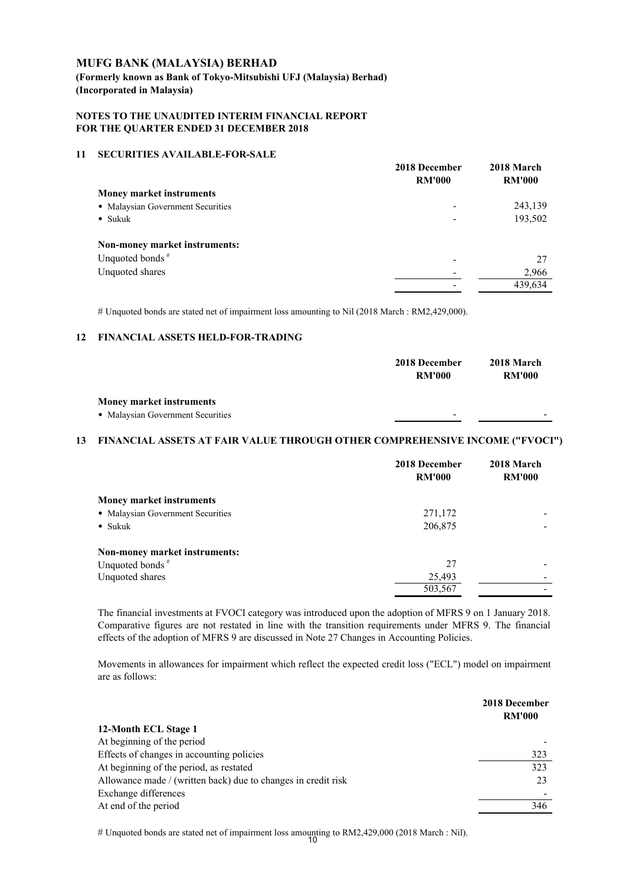**(Formerly known as Bank of Tokyo-Mitsubishi UFJ (Malaysia) Berhad) (Incorporated in Malaysia)**

## **NOTES TO THE UNAUDITED INTERIM FINANCIAL REPORT FOR THE QUARTER ENDED 31 DECEMBER 2018**

#### **11 SECURITIES AVAILABLE-FOR-SALE**

|                                   | 2018 December<br><b>RM'000</b> | 2018 March<br><b>RM'000</b> |
|-----------------------------------|--------------------------------|-----------------------------|
| <b>Money market instruments</b>   |                                |                             |
| • Malaysian Government Securities |                                | 243,139                     |
| $\bullet$ Sukuk                   |                                | 193,502                     |
| Non-money market instruments:     |                                |                             |
| Unquoted bonds <sup>#</sup>       |                                | 27                          |
| Unquoted shares                   |                                | 2,966                       |
|                                   |                                | 439,634                     |
|                                   |                                |                             |

# Unquoted bonds are stated net of impairment loss amounting to Nil (2018 March : RM2,429,000).

### **12 FINANCIAL ASSETS HELD-FOR-TRADING**

|                                                                      | 2018 December<br><b>RM'000</b> | 2018 March<br><b>RM'000</b> |
|----------------------------------------------------------------------|--------------------------------|-----------------------------|
| <b>Money market instruments</b><br>• Malaysian Government Securities | -                              | $\overline{\phantom{0}}$    |

## **13 FINANCIAL ASSETS AT FAIR VALUE THROUGH OTHER COMPREHENSIVE INCOME ("FVOCI")**

|                                   | 2018 December<br><b>RM'000</b> | 2018 March<br><b>RM'000</b> |
|-----------------------------------|--------------------------------|-----------------------------|
|                                   |                                |                             |
| <b>Money market instruments</b>   |                                |                             |
| • Malaysian Government Securities | 271,172                        |                             |
| $\bullet$ Sukuk                   | 206,875                        |                             |
| Non-money market instruments:     |                                |                             |
| Unquoted bonds <sup>#</sup>       | 27                             |                             |
| Unquoted shares                   | 25,493                         |                             |
|                                   | 503,567                        |                             |

The financial investments at FVOCI category was introduced upon the adoption of MFRS 9 on 1 January 2018. Comparative figures are not restated in line with the transition requirements under MFRS 9. The financial effects of the adoption of MFRS 9 are discussed in Note 27 Changes in Accounting Policies.

Movements in allowances for impairment which reflect the expected credit loss ("ECL") model on impairment are as follows:

|                                                               | 2018 December<br><b>RM'000</b> |
|---------------------------------------------------------------|--------------------------------|
| 12-Month ECL Stage 1                                          |                                |
| At beginning of the period                                    |                                |
| Effects of changes in accounting policies                     | 323                            |
| At beginning of the period, as restated                       | 323                            |
| Allowance made / (written back) due to changes in credit risk | 23                             |
| Exchange differences                                          |                                |
| At end of the period                                          | 346                            |

# Unquoted bonds are stated net of impairment loss amounting to RM2,429,000 (2018 March : Nil). 10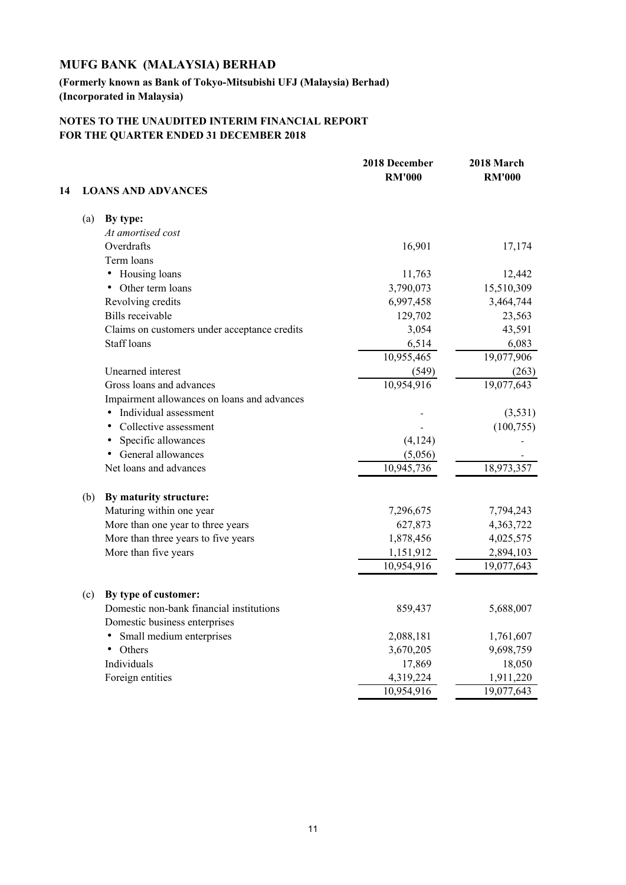## **(Formerly known as Bank of Tokyo-Mitsubishi UFJ (Malaysia) Berhad) (Incorporated in Malaysia)**

|    |     |                                              | 2018 December<br><b>RM'000</b> | 2018 March<br><b>RM'000</b> |
|----|-----|----------------------------------------------|--------------------------------|-----------------------------|
| 14 |     | <b>LOANS AND ADVANCES</b>                    |                                |                             |
|    | (a) | By type:                                     |                                |                             |
|    |     | At amortised cost                            |                                |                             |
|    |     | Overdrafts                                   | 16,901                         | 17,174                      |
|    |     | Term loans                                   |                                |                             |
|    |     | • Housing loans                              | 11,763                         | 12,442                      |
|    |     | Other term loans<br>٠                        | 3,790,073                      | 15,510,309                  |
|    |     | Revolving credits                            | 6,997,458                      | 3,464,744                   |
|    |     | <b>Bills</b> receivable                      | 129,702                        | 23,563                      |
|    |     | Claims on customers under acceptance credits | 3,054                          | 43,591                      |
|    |     | <b>Staff loans</b>                           | 6,514                          | 6,083                       |
|    |     |                                              | 10,955,465                     | 19,077,906                  |
|    |     | Unearned interest                            | (549)                          | (263)                       |
|    |     | Gross loans and advances                     | 10,954,916                     | 19,077,643                  |
|    |     | Impairment allowances on loans and advances  |                                |                             |
|    |     | Individual assessment                        |                                | (3,531)                     |
|    |     | Collective assessment                        |                                | (100, 755)                  |
|    |     | Specific allowances                          | (4, 124)                       |                             |
|    |     | General allowances<br>$\bullet$              | (5,056)                        |                             |
|    |     | Net loans and advances                       | 10,945,736                     | 18,973,357                  |
|    | (b) | By maturity structure:                       |                                |                             |
|    |     | Maturing within one year                     | 7,296,675                      | 7,794,243                   |
|    |     | More than one year to three years            | 627,873                        | 4,363,722                   |
|    |     | More than three years to five years          | 1,878,456                      | 4,025,575                   |
|    |     | More than five years                         | 1,151,912                      | 2,894,103                   |
|    |     |                                              | 10,954,916                     | 19,077,643                  |
|    | (c) | By type of customer:                         |                                |                             |
|    |     | Domestic non-bank financial institutions     | 859,437                        | 5,688,007                   |
|    |     | Domestic business enterprises                |                                |                             |
|    |     | Small medium enterprises                     | 2,088,181                      | 1,761,607                   |
|    |     | Others<br>$\bullet$                          | 3,670,205                      | 9,698,759                   |
|    |     | Individuals                                  | 17,869                         | 18,050                      |
|    |     | Foreign entities                             | 4,319,224                      | 1,911,220                   |
|    |     |                                              | 10,954,916                     | 19,077,643                  |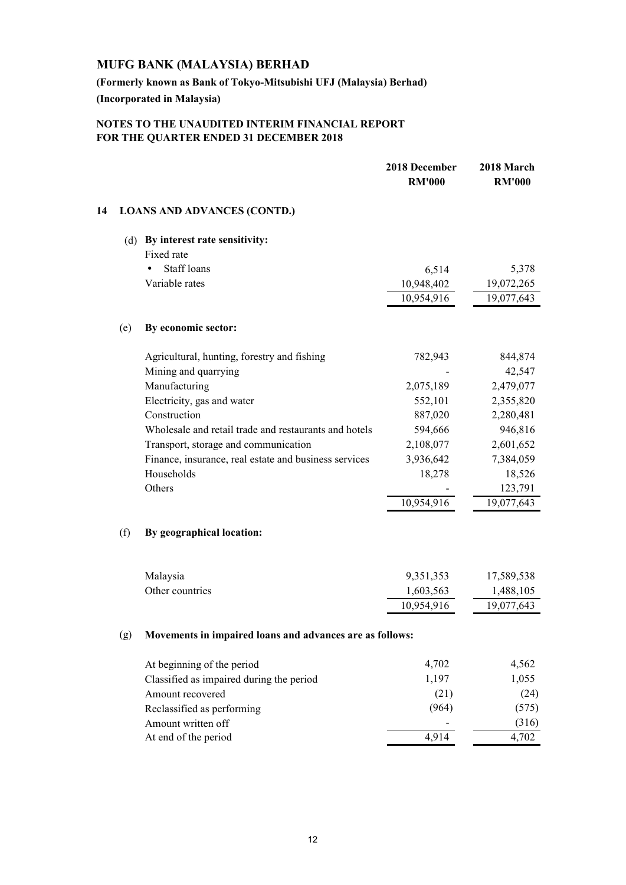**(Formerly known as Bank of Tokyo-Mitsubishi UFJ (Malaysia) Berhad) (Incorporated in Malaysia)**

|    |     |                                                          | 2018 December<br><b>RM'000</b> | 2018 March<br><b>RM'000</b> |
|----|-----|----------------------------------------------------------|--------------------------------|-----------------------------|
| 14 |     | <b>LOANS AND ADVANCES (CONTD.)</b>                       |                                |                             |
|    |     | (d) By interest rate sensitivity:                        |                                |                             |
|    |     | Fixed rate                                               |                                |                             |
|    |     | <b>Staff</b> loans                                       | 6,514                          | 5,378                       |
|    |     | Variable rates                                           | 10,948,402                     | 19,072,265                  |
|    |     |                                                          | 10,954,916                     | 19,077,643                  |
|    | (e) | By economic sector:                                      |                                |                             |
|    |     | Agricultural, hunting, forestry and fishing              | 782,943                        | 844,874                     |
|    |     | Mining and quarrying                                     |                                | 42,547                      |
|    |     | Manufacturing                                            | 2,075,189                      | 2,479,077                   |
|    |     | Electricity, gas and water                               | 552,101                        | 2,355,820                   |
|    |     | Construction                                             | 887,020                        | 2,280,481                   |
|    |     | Wholesale and retail trade and restaurants and hotels    | 594,666                        | 946,816                     |
|    |     | Transport, storage and communication                     | 2,108,077                      | 2,601,652                   |
|    |     | Finance, insurance, real estate and business services    | 3,936,642                      | 7,384,059                   |
|    |     | Households                                               | 18,278                         | 18,526                      |
|    |     | Others                                                   |                                | 123,791                     |
|    |     |                                                          | 10,954,916                     | 19,077,643                  |
|    | (f) | By geographical location:                                |                                |                             |
|    |     | Malaysia                                                 | 9,351,353                      | 17,589,538                  |
|    |     | Other countries                                          | 1,603,563                      | 1,488,105                   |
|    |     |                                                          | 10,954,916                     | 19,077,643                  |
|    | (g) | Movements in impaired loans and advances are as follows: |                                |                             |
|    |     | At beginning of the period                               | 4,702                          | 4,562                       |
|    |     | Classified as impaired during the period                 | 1,197                          | 1,055                       |
|    |     | Amount recovered                                         | (21)                           | (24)                        |
|    |     | Reclassified as performing                               | (964)                          | (575)                       |
|    |     | Amount written off                                       |                                | (316)                       |
|    |     | At end of the period                                     | 4,914                          | 4,702                       |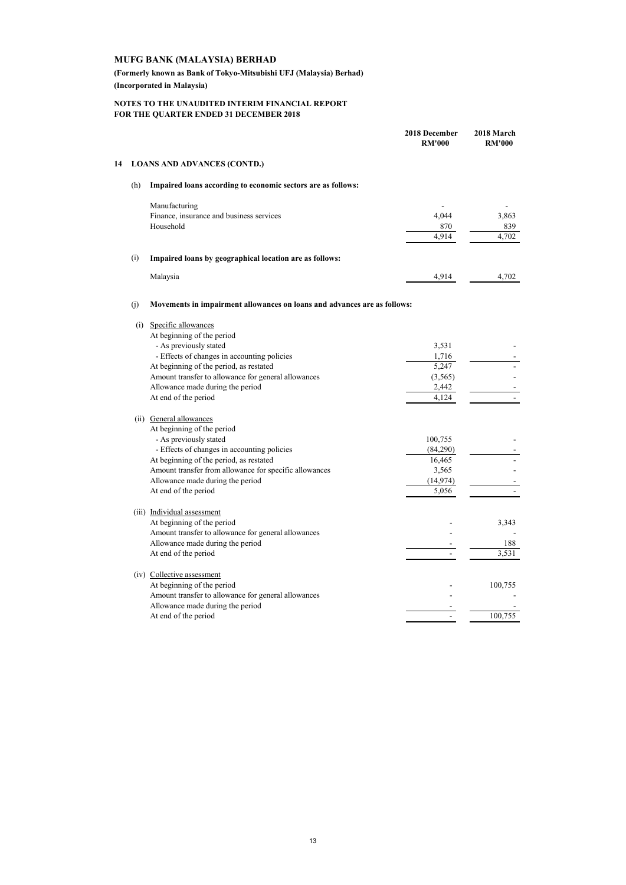**(Formerly known as Bank of Tokyo-Mitsubishi UFJ (Malaysia) Berhad) (Incorporated in Malaysia)**

|    |     |                                                                          | 2018 December<br><b>RM'000</b> | 2018 March<br><b>RM'000</b> |
|----|-----|--------------------------------------------------------------------------|--------------------------------|-----------------------------|
| 14 |     | <b>LOANS AND ADVANCES (CONTD.)</b>                                       |                                |                             |
|    | (h) | Impaired loans according to economic sectors are as follows:             |                                |                             |
|    |     | Manufacturing                                                            |                                |                             |
|    |     | Finance, insurance and business services                                 | 4,044                          | 3,863                       |
|    |     | Household                                                                | 870                            | 839                         |
|    |     |                                                                          | 4,914                          | 4,702                       |
|    | (i) | Impaired loans by geographical location are as follows:                  |                                |                             |
|    |     | Malaysia                                                                 | 4,914                          | 4,702                       |
|    | (i) | Movements in impairment allowances on loans and advances are as follows: |                                |                             |
|    | (i) | Specific allowances                                                      |                                |                             |
|    |     | At beginning of the period                                               |                                |                             |
|    |     | - As previously stated                                                   | 3,531                          |                             |
|    |     | - Effects of changes in accounting policies                              | 1,716                          |                             |
|    |     | At beginning of the period, as restated                                  | 5,247                          |                             |
|    |     | Amount transfer to allowance for general allowances                      | (3, 565)                       |                             |
|    |     | Allowance made during the period                                         | 2,442                          |                             |
|    |     | At end of the period                                                     | 4.124                          |                             |
|    |     | (ii) General allowances                                                  |                                |                             |
|    |     | At beginning of the period                                               |                                |                             |
|    |     | - As previously stated                                                   | 100,755                        |                             |
|    |     | - Effects of changes in accounting policies                              | (84,290)                       |                             |
|    |     | At beginning of the period, as restated                                  | 16,465                         |                             |
|    |     | Amount transfer from allowance for specific allowances                   | 3,565                          |                             |
|    |     | Allowance made during the period                                         | (14, 974)                      |                             |
|    |     | At end of the period                                                     | 5,056                          |                             |
|    |     | (iii) Individual assessment                                              |                                |                             |
|    |     | At beginning of the period                                               |                                | 3,343                       |
|    |     | Amount transfer to allowance for general allowances                      |                                |                             |
|    |     | Allowance made during the period                                         |                                | 188                         |
|    |     | At end of the period                                                     |                                | 3,531                       |
|    |     | (iv) Collective assessment                                               |                                |                             |
|    |     | At beginning of the period                                               |                                | 100,755                     |
|    |     | Amount transfer to allowance for general allowances                      |                                |                             |
|    |     | Allowance made during the period                                         |                                |                             |
|    |     | At end of the period                                                     |                                | 100,755                     |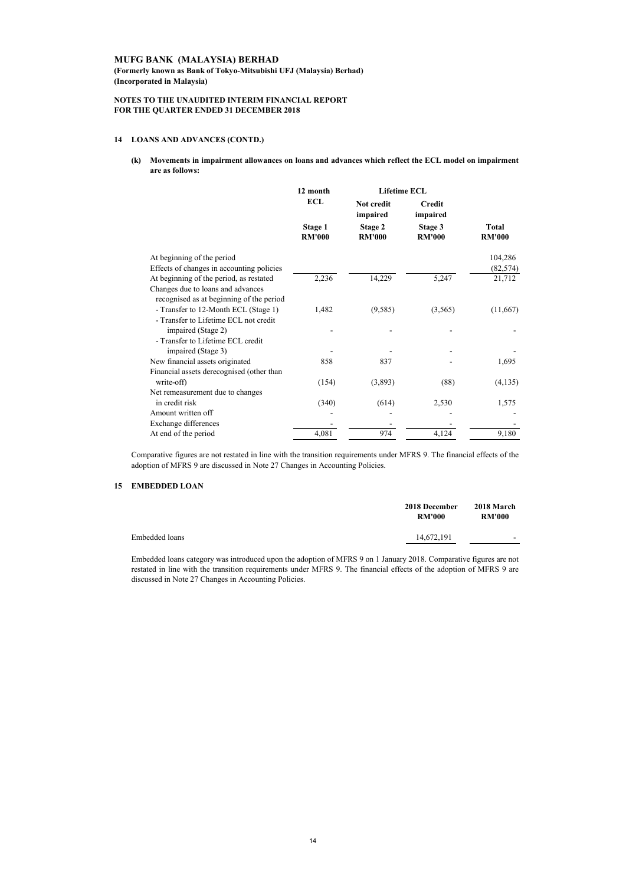**(Formerly known as Bank of Tokyo-Mitsubishi UFJ (Malaysia) Berhad) (Incorporated in Malaysia)**

#### **NOTES TO THE UNAUDITED INTERIM FINANCIAL REPORT FOR THE QUARTER ENDED 31 DECEMBER 2018**

#### **14 LOANS AND ADVANCES (CONTD.)**

**(k) Movements in impairment allowances on loans and advances which reflect the ECL model on impairment are as follows:**

|                                           | 12 month                 | <b>Lifetime ECL</b>      |                           |                        |
|-------------------------------------------|--------------------------|--------------------------|---------------------------|------------------------|
|                                           | ECL                      | Not credit<br>impaired   | <b>Credit</b><br>impaired |                        |
|                                           | Stage 1<br><b>RM'000</b> | Stage 2<br><b>RM'000</b> | Stage 3<br><b>RM'000</b>  | Total<br><b>RM'000</b> |
| At beginning of the period                |                          |                          |                           | 104,286                |
| Effects of changes in accounting policies |                          |                          |                           | (82, 574)              |
| At beginning of the period, as restated   | 2,236                    | 14,229                   | 5,247                     | 21,712                 |
| Changes due to loans and advances         |                          |                          |                           |                        |
| recognised as at beginning of the period  |                          |                          |                           |                        |
| - Transfer to 12-Month ECL (Stage 1)      | 1,482                    | (9,585)                  | (3,565)                   | (11,667)               |
| - Transfer to Lifetime ECL not credit     |                          |                          |                           |                        |
| impaired (Stage 2)                        |                          |                          |                           |                        |
| - Transfer to Lifetime ECL credit         |                          |                          |                           |                        |
| impaired (Stage 3)                        |                          |                          |                           |                        |
| New financial assets originated           | 858                      | 837                      |                           | 1,695                  |
| Financial assets derecognised (other than |                          |                          |                           |                        |
| write-off)                                | (154)                    | (3,893)                  | (88)                      | (4, 135)               |
| Net remeasurement due to changes          |                          |                          |                           |                        |
| in credit risk                            | (340)                    | (614)                    | 2,530                     | 1,575                  |
| Amount written off                        |                          |                          |                           |                        |
| Exchange differences                      |                          |                          |                           |                        |
| At end of the period                      | 4,081                    | 974                      | 4,124                     | 9,180                  |

Comparative figures are not restated in line with the transition requirements under MFRS 9. The financial effects of the adoption of MFRS 9 are discussed in Note 27 Changes in Accounting Policies.

#### **15 EMBEDDED LOAN**

|                | 2018 December<br><b>RM'000</b> | 2018 March<br><b>RM'000</b> |
|----------------|--------------------------------|-----------------------------|
| Embedded loans | 14,672,191                     | -                           |

Embedded loans category was introduced upon the adoption of MFRS 9 on 1 January 2018. Comparative figures are not restated in line with the transition requirements under MFRS 9. The financial effects of the adoption of MFRS 9 are discussed in Note 27 Changes in Accounting Policies.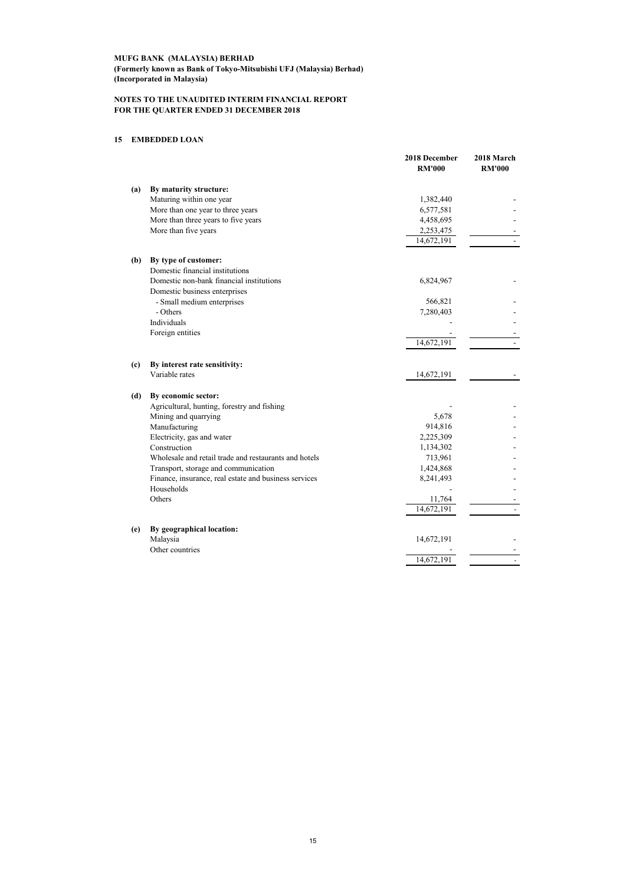#### **MUFG BANK (MALAYSIA) BERHAD (Formerly known as Bank of Tokyo-Mitsubishi UFJ (Malaysia) Berhad) (Incorporated in Malaysia)**

#### **NOTES TO THE UNAUDITED INTERIM FINANCIAL REPORT FOR THE QUARTER ENDED 31 DECEMBER 2018**

### **15 EMBEDDED LOAN**

|                            |                                                       | 2018 December<br><b>RM'000</b> | 2018 March<br><b>RM'000</b> |
|----------------------------|-------------------------------------------------------|--------------------------------|-----------------------------|
| (a)                        | By maturity structure:                                |                                |                             |
|                            | Maturing within one year                              | 1,382,440                      |                             |
|                            | More than one year to three years                     | 6,577,581                      |                             |
|                            | More than three years to five years                   | 4,458,695                      |                             |
|                            | More than five years                                  | 2,253,475                      |                             |
|                            |                                                       | 14,672,191                     |                             |
| (b)                        | By type of customer:                                  |                                |                             |
|                            | Domestic financial institutions                       |                                |                             |
|                            | Domestic non-bank financial institutions              | 6,824,967                      |                             |
|                            | Domestic business enterprises                         |                                |                             |
|                            | - Small medium enterprises                            | 566,821                        |                             |
|                            | - Others                                              | 7,280,403                      |                             |
|                            | Individuals                                           |                                |                             |
|                            | Foreign entities                                      |                                |                             |
|                            |                                                       | 14,672,191                     |                             |
| $\left( \mathrm{c}\right)$ | By interest rate sensitivity:                         |                                |                             |
|                            | Variable rates                                        | 14,672,191                     |                             |
| (d)                        | By economic sector:                                   |                                |                             |
|                            | Agricultural, hunting, forestry and fishing           |                                |                             |
|                            | Mining and quarrying                                  | 5,678                          |                             |
|                            | Manufacturing                                         | 914,816                        |                             |
|                            | Electricity, gas and water                            | 2,225,309                      |                             |
|                            | Construction                                          | 1,134,302                      |                             |
|                            | Wholesale and retail trade and restaurants and hotels | 713,961                        |                             |
|                            | Transport, storage and communication                  | 1,424,868                      |                             |
|                            | Finance, insurance, real estate and business services | 8,241,493                      |                             |
|                            | Households                                            |                                |                             |
|                            | Others                                                | 11,764                         |                             |
|                            |                                                       | 14,672,191                     |                             |
| (e)                        | By geographical location:                             |                                |                             |
|                            | Malaysia                                              | 14,672,191                     |                             |
|                            | Other countries                                       |                                |                             |
|                            |                                                       | 14,672,191                     |                             |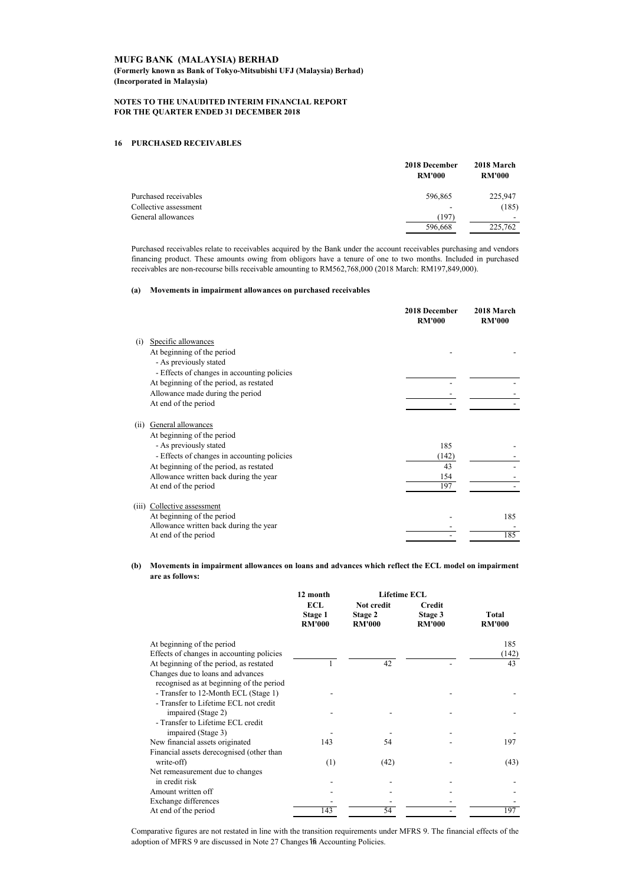**(Formerly known as Bank of Tokyo-Mitsubishi UFJ (Malaysia) Berhad) (Incorporated in Malaysia)**

#### **NOTES TO THE UNAUDITED INTERIM FINANCIAL REPORT FOR THE QUARTER ENDED 31 DECEMBER 2018**

#### **16 PURCHASED RECEIVABLES**

|                       | 2018 December<br><b>RM'000</b> | 2018 March<br><b>RM'000</b> |
|-----------------------|--------------------------------|-----------------------------|
| Purchased receivables | 596,865                        | 225,947                     |
| Collective assessment | -                              | (185)                       |
| General allowances    | (197)                          | $\overline{\phantom{a}}$    |
|                       | 596,668                        | 225,762                     |

Purchased receivables relate to receivables acquired by the Bank under the account receivables purchasing and vendors financing product. These amounts owing from obligors have a tenure of one to two months. Included in purchased receivables are non-recourse bills receivable amounting to RM562,768,000 (2018 March: RM197,849,000).

#### **(a) Movements in impairment allowances on purchased receivables**

|                                             | 2018 December<br><b>RM'000</b> | 2018 March<br><b>RM'000</b> |
|---------------------------------------------|--------------------------------|-----------------------------|
| Specific allowances<br>(i)                  |                                |                             |
| At beginning of the period                  |                                |                             |
| - As previously stated                      |                                |                             |
| - Effects of changes in accounting policies |                                |                             |
| At beginning of the period, as restated     |                                |                             |
| Allowance made during the period            |                                |                             |
| At end of the period                        |                                |                             |
| General allowances<br>(ii)                  |                                |                             |
| At beginning of the period                  |                                |                             |
| - As previously stated                      | 185                            |                             |
| - Effects of changes in accounting policies | (142)                          |                             |
| At beginning of the period, as restated     | 43                             |                             |
| Allowance written back during the year      | 154                            |                             |
| At end of the period                        | 197                            |                             |
| Collective assessment<br>(iii)              |                                |                             |
| At beginning of the period                  |                                | 185                         |
| Allowance written back during the year      |                                |                             |
| At end of the period                        |                                | 185                         |

**(b) Movements in impairment allowances on loans and advances which reflect the ECL model on impairment are as follows:**

|                                           | 12 month                        | <b>Lifetime ECL</b>                    |                                           |                        |
|-------------------------------------------|---------------------------------|----------------------------------------|-------------------------------------------|------------------------|
|                                           | ECL<br>Stage 1<br><b>RM'000</b> | Not credit<br>Stage 2<br><b>RM'000</b> | <b>Credit</b><br>Stage 3<br><b>RM'000</b> | Total<br><b>RM'000</b> |
| At beginning of the period                |                                 |                                        |                                           | 185                    |
| Effects of changes in accounting policies |                                 |                                        |                                           | (142)                  |
| At beginning of the period, as restated   |                                 | 42                                     |                                           | 43                     |
| Changes due to loans and advances         |                                 |                                        |                                           |                        |
| recognised as at beginning of the period  |                                 |                                        |                                           |                        |
| - Transfer to 12-Month ECL (Stage 1)      |                                 |                                        |                                           |                        |
| - Transfer to Lifetime ECL not credit     |                                 |                                        |                                           |                        |
| impaired (Stage 2)                        |                                 |                                        |                                           |                        |
| - Transfer to Lifetime ECL credit         |                                 |                                        |                                           |                        |
| impaired (Stage 3)                        |                                 |                                        |                                           |                        |
| New financial assets originated           | 143                             | 54                                     |                                           | 197                    |
| Financial assets derecognised (other than |                                 |                                        |                                           |                        |
| write-off)                                | (1)                             | (42)                                   |                                           | (43)                   |
| Net remeasurement due to changes          |                                 |                                        |                                           |                        |
| in credit risk                            |                                 |                                        |                                           |                        |
| Amount written off                        |                                 |                                        |                                           |                        |
| Exchange differences                      |                                 |                                        |                                           |                        |
| At end of the period                      | 143                             | 54                                     |                                           | 197                    |

Comparative figures are not restated in line with the transition requirements under MFRS 9. The financial effects of the adoption of MFRS 9 are discussed in Note 27 Changes 16 Accounting Policies.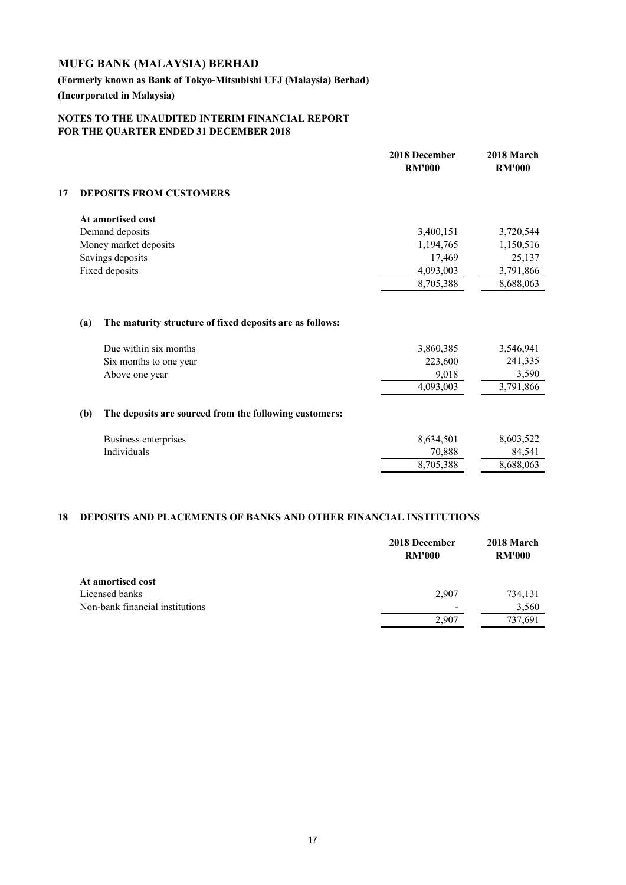## **(Formerly known as Bank of Tokyo-Mitsubishi UFJ (Malaysia) Berhad) (Incorporated in Malaysia)**

## **NOTES TO THE UNAUDITED INTERIM FINANCIAL REPORT FOR THE QUARTER ENDED 31 DECEMBER 2018**

|    |     |                                                                                   | 2018 December<br><b>RM'000</b> | 2018 March<br><b>RM'000</b> |
|----|-----|-----------------------------------------------------------------------------------|--------------------------------|-----------------------------|
| 17 |     | <b>DEPOSITS FROM CUSTOMERS</b>                                                    |                                |                             |
|    |     | At amortised cost                                                                 |                                |                             |
|    |     | Demand deposits                                                                   | 3,400,151                      | 3,720,544                   |
|    |     | Money market deposits                                                             | 1,194,765                      | 1,150,516                   |
|    |     | Savings deposits                                                                  | 17,469                         | 25,137                      |
|    |     | Fixed deposits                                                                    | 4,093,003                      | 3,791,866                   |
|    |     |                                                                                   | 8,705,388                      | 8,688,063                   |
|    | (a) | The maturity structure of fixed deposits are as follows:<br>Due within six months | 3,860,385                      | 3,546,941                   |
|    |     | Six months to one year                                                            | 223,600                        | 241,335                     |
|    |     | Above one year                                                                    | 9,018                          | 3,590                       |
|    |     |                                                                                   | 4,093,003                      | 3,791,866                   |
|    | (b) | The deposits are sourced from the following customers:                            |                                |                             |
|    |     | Business enterprises                                                              | 8,634,501                      | 8,603,522                   |
|    |     | Individuals                                                                       | 70,888                         | 84,541                      |
|    |     |                                                                                   | 8,705,388                      | 8,688,063                   |
|    |     |                                                                                   |                                |                             |

## **18 DEPOSITS AND PLACEMENTS OF BANKS AND OTHER FINANCIAL INSTITUTIONS**

|                                 | 2018 December<br><b>RM'000</b> | 2018 March<br><b>RM'000</b> |
|---------------------------------|--------------------------------|-----------------------------|
| At amortised cost               |                                |                             |
| Licensed banks                  | 2,907                          | 734,131                     |
| Non-bank financial institutions | $\overline{\phantom{a}}$       | 3,560                       |
|                                 | 2.907                          | 737,691                     |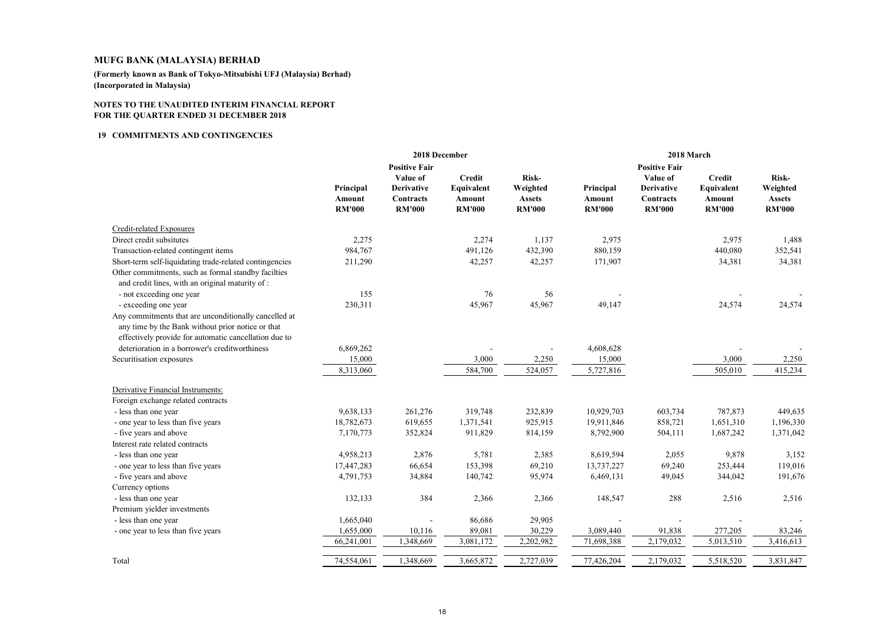**(Formerly known as Bank of Tokyo-Mitsubishi UFJ (Malaysia) Berhad)(Incorporated in Malaysia)**

#### **NOTES TO THE UNAUDITED INTERIM FINANCIAL REPORTFOR THE QUARTER ENDED 31 DECEMBER 2018**

#### **<sup>19</sup> COMMITMENTS AND CONTINGENCIES**

|                                                                                                            | 2018 December                        |                                                 |                                       | 2018 March                                 |                                      |                                                 |                                       |                                            |
|------------------------------------------------------------------------------------------------------------|--------------------------------------|-------------------------------------------------|---------------------------------------|--------------------------------------------|--------------------------------------|-------------------------------------------------|---------------------------------------|--------------------------------------------|
|                                                                                                            |                                      | <b>Positive Fair</b>                            |                                       |                                            |                                      | <b>Positive Fair</b>                            |                                       |                                            |
|                                                                                                            |                                      | Value of                                        | <b>Credit</b>                         | Risk-                                      |                                      | Value of                                        | <b>Credit</b>                         | Risk-                                      |
|                                                                                                            | Principal<br>Amount<br><b>RM'000</b> | <b>Derivative</b><br>Contracts<br><b>RM'000</b> | Equivalent<br>Amount<br><b>RM'000</b> | Weighted<br><b>Assets</b><br><b>RM'000</b> | Principal<br>Amount<br><b>RM'000</b> | <b>Derivative</b><br>Contracts<br><b>RM'000</b> | Equivalent<br>Amount<br><b>RM'000</b> | Weighted<br><b>Assets</b><br><b>RM'000</b> |
| Credit-related Exposures                                                                                   |                                      |                                                 |                                       |                                            |                                      |                                                 |                                       |                                            |
| Direct credit subsitutes                                                                                   | 2,275                                |                                                 | 2,274                                 | 1,137                                      | 2,975                                |                                                 | 2,975                                 | 1,488                                      |
| Transaction-related contingent items                                                                       | 984,767                              |                                                 | 491,126                               | 432,390                                    | 880,159                              |                                                 | 440,080                               | 352,541                                    |
| Short-term self-liquidating trade-related contingencies                                                    | 211,290                              |                                                 | 42,257                                | 42,257                                     | 171,907                              |                                                 | 34,381                                | 34,381                                     |
| Other commitments, such as formal standby facilties                                                        |                                      |                                                 |                                       |                                            |                                      |                                                 |                                       |                                            |
| and credit lines, with an original maturity of :                                                           |                                      |                                                 |                                       |                                            |                                      |                                                 |                                       |                                            |
| - not exceeding one year                                                                                   | 155                                  |                                                 | 76                                    | 56                                         |                                      |                                                 |                                       |                                            |
| - exceeding one year                                                                                       | 230,311                              |                                                 | 45,967                                | 45,967                                     | 49,147                               |                                                 | 24,574                                | 24,574                                     |
| Any commitments that are unconditionally cancelled at<br>any time by the Bank without prior notice or that |                                      |                                                 |                                       |                                            |                                      |                                                 |                                       |                                            |
| effectively provide for automatic cancellation due to<br>deterioration in a borrower's creditworthiness    |                                      |                                                 |                                       |                                            |                                      |                                                 |                                       |                                            |
|                                                                                                            | 6,869,262                            |                                                 |                                       |                                            | 4,608,628                            |                                                 |                                       |                                            |
| Securitisation exposures                                                                                   | 15,000<br>8,313,060                  |                                                 | 3,000<br>584,700                      | 2,250<br>524,057                           | 15,000<br>5,727,816                  |                                                 | 3,000<br>505,010                      | 2,250<br>415,234                           |
|                                                                                                            |                                      |                                                 |                                       |                                            |                                      |                                                 |                                       |                                            |
| Derivative Financial Instruments:                                                                          |                                      |                                                 |                                       |                                            |                                      |                                                 |                                       |                                            |
| Foreign exchange related contracts                                                                         |                                      |                                                 |                                       |                                            |                                      |                                                 |                                       |                                            |
| - less than one year                                                                                       | 9,638,133                            | 261,276                                         | 319,748                               | 232,839                                    | 10,929,703                           | 603,734                                         | 787,873                               | 449,635                                    |
| - one year to less than five years                                                                         | 18,782,673                           | 619,655                                         | 1,371,541                             | 925,915                                    | 19,911,846                           | 858,721                                         | 1,651,310                             | 1,196,330                                  |
| - five years and above                                                                                     | 7,170,773                            | 352,824                                         | 911,829                               | 814,159                                    | 8,792,900                            | 504,111                                         | 1,687,242                             | 1,371,042                                  |
| Interest rate related contracts                                                                            |                                      |                                                 |                                       |                                            |                                      |                                                 |                                       |                                            |
| - less than one year                                                                                       | 4,958,213                            | 2,876                                           | 5,781                                 | 2,385                                      | 8,619,594                            | 2,055                                           | 9,878                                 | 3,152                                      |
| - one year to less than five years                                                                         | 17,447,283                           | 66,654                                          | 153,398                               | 69,210                                     | 13,737,227                           | 69,240                                          | 253,444                               | 119,016                                    |
| - five years and above                                                                                     | 4,791,753                            | 34,884                                          | 140,742                               | 95,974                                     | 6,469,131                            | 49,045                                          | 344,042                               | 191,676                                    |
| Currency options                                                                                           |                                      |                                                 |                                       |                                            |                                      |                                                 |                                       |                                            |
| - less than one year                                                                                       | 132,133                              | 384                                             | 2,366                                 | 2,366                                      | 148,547                              | 288                                             | 2,516                                 | 2,516                                      |
| Premium yielder investments                                                                                |                                      |                                                 |                                       |                                            |                                      |                                                 |                                       |                                            |
| - less than one year                                                                                       | 1,665,040                            |                                                 | 86,686                                | 29,905                                     |                                      |                                                 |                                       |                                            |
| - one year to less than five years                                                                         | 1,655,000                            | 10,116                                          | 89,081                                | 30,229                                     | 3,089,440                            | 91,838                                          | 277,205                               | 83,246                                     |
|                                                                                                            | 66,241,001                           | 1,348,669                                       | 3,081,172                             | 2,202,982                                  | 71,698,388                           | 2,179,032                                       | 5,013,510                             | 3,416,613                                  |
| Total                                                                                                      | 74,554,061                           | 1,348,669                                       | 3,665,872                             | 2,727,039                                  | 77,426,204                           | 2,179,032                                       | 5,518,520                             | 3,831,847                                  |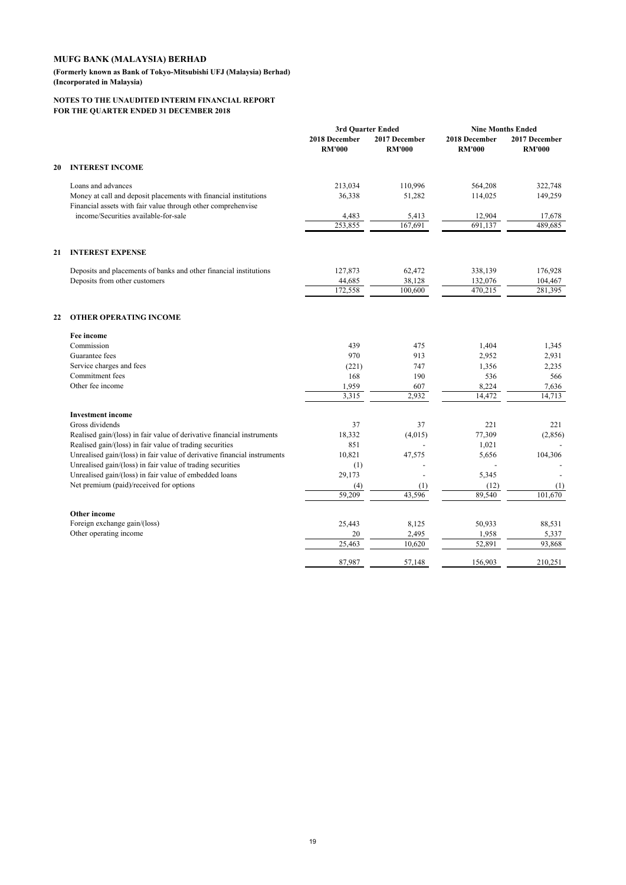**(Formerly known as Bank of Tokyo-Mitsubishi UFJ (Malaysia) Berhad) (Incorporated in Malaysia)**

|    |                                                                                                                                        |                                | 3rd Ouarter Ended              | <b>Nine Months Ended</b>       |                                |
|----|----------------------------------------------------------------------------------------------------------------------------------------|--------------------------------|--------------------------------|--------------------------------|--------------------------------|
|    |                                                                                                                                        | 2018 December<br><b>RM'000</b> | 2017 December<br><b>RM'000</b> | 2018 December<br><b>RM'000</b> | 2017 December<br><b>RM'000</b> |
| 20 | <b>INTEREST INCOME</b>                                                                                                                 |                                |                                |                                |                                |
|    | Loans and advances                                                                                                                     | 213,034                        | 110,996                        | 564,208                        | 322,748                        |
|    | Money at call and deposit placements with financial institutions<br>Financial assets with fair value through other comprehenvise       | 36,338                         | 51,282                         | 114,025                        | 149,259                        |
|    | income/Securities available-for-sale                                                                                                   | 4,483                          | 5,413                          | 12,904                         | 17,678                         |
|    |                                                                                                                                        | 253,855                        | 167,691                        | 691,137                        | 489.685                        |
| 21 | <b>INTEREST EXPENSE</b>                                                                                                                |                                |                                |                                |                                |
|    | Deposits and placements of banks and other financial institutions                                                                      | 127,873                        | 62,472                         | 338,139                        | 176,928                        |
|    | Deposits from other customers                                                                                                          | 44,685                         | 38,128                         | 132,076                        | 104,467                        |
|    |                                                                                                                                        | 172,558                        | 100,600                        | 470,215                        | 281,395                        |
| 22 | <b>OTHER OPERATING INCOME</b>                                                                                                          |                                |                                |                                |                                |
|    | <b>Fee income</b>                                                                                                                      |                                |                                |                                |                                |
|    | Commission                                                                                                                             | 439                            | 475                            | 1,404                          | 1,345                          |
|    | Guarantee fees                                                                                                                         | 970                            | 913                            | 2,952                          | 2,931                          |
|    | Service charges and fees                                                                                                               | (221)                          | 747                            | 1,356                          | 2,235                          |
|    | Commitment fees                                                                                                                        | 168                            | 190                            | 536                            | 566                            |
|    | Other fee income                                                                                                                       | 1,959                          | 607                            | 8,224                          | 7,636                          |
|    |                                                                                                                                        | 3,315                          | 2,932                          | 14,472                         | 14,713                         |
|    | <b>Investment</b> income                                                                                                               |                                |                                |                                |                                |
|    | Gross dividends                                                                                                                        | 37                             | 37                             | 221                            | 221                            |
|    | Realised gain/(loss) in fair value of derivative financial instruments                                                                 | 18,332                         | (4,015)                        | 77,309                         | (2,856)                        |
|    | Realised gain/(loss) in fair value of trading securities                                                                               | 851                            |                                | 1,021                          |                                |
|    | Unrealised gain/(loss) in fair value of derivative financial instruments<br>Unrealised gain/(loss) in fair value of trading securities | 10,821<br>(1)                  | 47,575                         | 5,656                          | 104,306                        |
|    | Unrealised gain/(loss) in fair value of embedded loans                                                                                 | 29,173                         |                                | 5,345                          |                                |
|    | Net premium (paid)/received for options                                                                                                | (4)                            | (1)                            | (12)                           | (1)                            |
|    |                                                                                                                                        | 59,209                         | 43,596                         | 89,540                         | 101,670                        |
|    | Other income                                                                                                                           |                                |                                |                                |                                |
|    | Foreign exchange gain/(loss)                                                                                                           | 25,443                         | 8,125                          | 50,933                         | 88,531                         |
|    | Other operating income                                                                                                                 | 20                             | 2,495                          | 1,958                          | 5,337                          |
|    |                                                                                                                                        | 25,463                         | 10,620                         | 52,891                         | 93,868                         |
|    |                                                                                                                                        | 87,987                         | 57,148                         | 156,903                        | 210,251                        |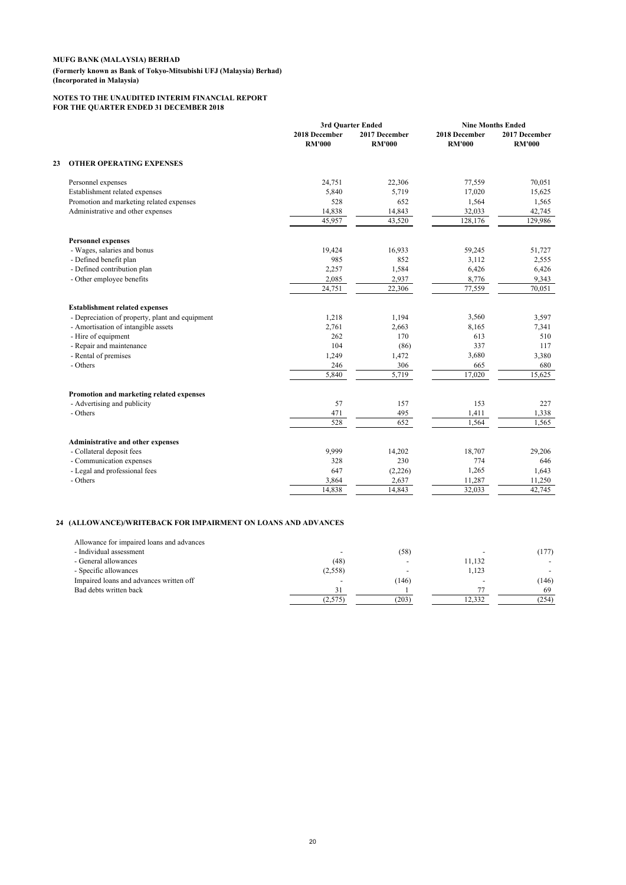#### **MUFG BANK (MALAYSIA) BERHAD (Formerly known as Bank of Tokyo-Mitsubishi UFJ (Malaysia) Berhad) (Incorporated in Malaysia)**

#### **NOTES TO THE UNAUDITED INTERIM FINANCIAL REPORT FOR THE QUARTER ENDED 31 DECEMBER 2018**

|    |                                                 |                                | 3rd Ouarter Ended              |                                | <b>Nine Months Ended</b>       |  |
|----|-------------------------------------------------|--------------------------------|--------------------------------|--------------------------------|--------------------------------|--|
|    |                                                 | 2018 December<br><b>RM'000</b> | 2017 December<br><b>RM'000</b> | 2018 December<br><b>RM'000</b> | 2017 December<br><b>RM'000</b> |  |
| 23 | <b>OTHER OPERATING EXPENSES</b>                 |                                |                                |                                |                                |  |
|    | Personnel expenses                              | 24,751                         | 22,306                         | 77,559                         | 70,051                         |  |
|    | Establishment related expenses                  | 5,840                          | 5,719                          | 17,020                         | 15,625                         |  |
|    | Promotion and marketing related expenses        | 528                            | 652                            | 1,564                          | 1,565                          |  |
|    | Administrative and other expenses               | 14,838                         | 14,843                         | 32,033                         | 42,745                         |  |
|    |                                                 | 45,957                         | 43,520                         | 128,176                        | 129,986                        |  |
|    | <b>Personnel expenses</b>                       |                                |                                |                                |                                |  |
|    | - Wages, salaries and bonus                     | 19,424                         | 16,933                         | 59,245                         | 51,727                         |  |
|    | - Defined benefit plan                          | 985                            | 852                            | 3,112                          | 2,555                          |  |
|    | - Defined contribution plan                     | 2,257                          | 1,584                          | 6,426                          | 6,426                          |  |
|    | - Other employee benefits                       | 2,085                          | 2,937                          | 8,776                          | 9,343                          |  |
|    |                                                 | 24,751                         | 22,306                         | 77,559                         | 70,051                         |  |
|    | <b>Establishment related expenses</b>           |                                |                                |                                |                                |  |
|    | - Depreciation of property, plant and equipment | 1,218                          | 1,194                          | 3,560                          | 3,597                          |  |
|    | - Amortisation of intangible assets             | 2,761                          | 2,663                          | 8,165                          | 7,341                          |  |
|    | - Hire of equipment                             | 262                            | 170                            | 613                            | 510                            |  |
|    | - Repair and maintenance                        | 104                            | (86)                           | 337                            | 117                            |  |
|    | - Rental of premises                            | 1,249                          | 1,472                          | 3,680                          | 3,380                          |  |
|    | - Others                                        | 246                            | 306                            | 665                            | 680                            |  |
|    |                                                 | 5,840                          | 5,719                          | 17,020                         | 15,625                         |  |
|    | Promotion and marketing related expenses        |                                |                                |                                |                                |  |
|    | - Advertising and publicity                     | 57                             | 157                            | 153                            | 227                            |  |
|    | - Others                                        | 471                            | 495                            | 1,411                          | 1,338                          |  |
|    |                                                 | 528                            | 652                            | 1,564                          | 1,565                          |  |
|    | Administrative and other expenses               |                                |                                |                                |                                |  |
|    | - Collateral deposit fees                       | 9,999                          | 14,202                         | 18,707                         | 29,206                         |  |
|    | - Communication expenses                        | 328                            | 230                            | 774                            | 646                            |  |
|    | - Legal and professional fees                   | 647                            | (2,226)                        | 1,265                          | 1,643                          |  |
|    | - Others                                        | 3,864                          | 2,637                          | 11,287                         | 11,250                         |  |
|    |                                                 | 14,838                         | 14,843                         | 32,033                         | 42,745                         |  |

### **24 (ALLOWANCE)/WRITEBACK FOR IMPAIRMENT ON LOANS AND ADVANCES**

| Allowance for impaired loans and advances |         |       |        |       |
|-------------------------------------------|---------|-------|--------|-------|
| - Individual assessment                   |         | (58)  |        | (177) |
| - General allowances                      | (48)    |       | 11.132 |       |
| - Specific allowances                     | (2,558) |       | 1.123  |       |
| Impaired loans and advances written off   |         | (146) |        | (146) |
| Bad debts written back                    |         |       |        | 69    |
|                                           | (2,575) | (203) | 12.332 | (254) |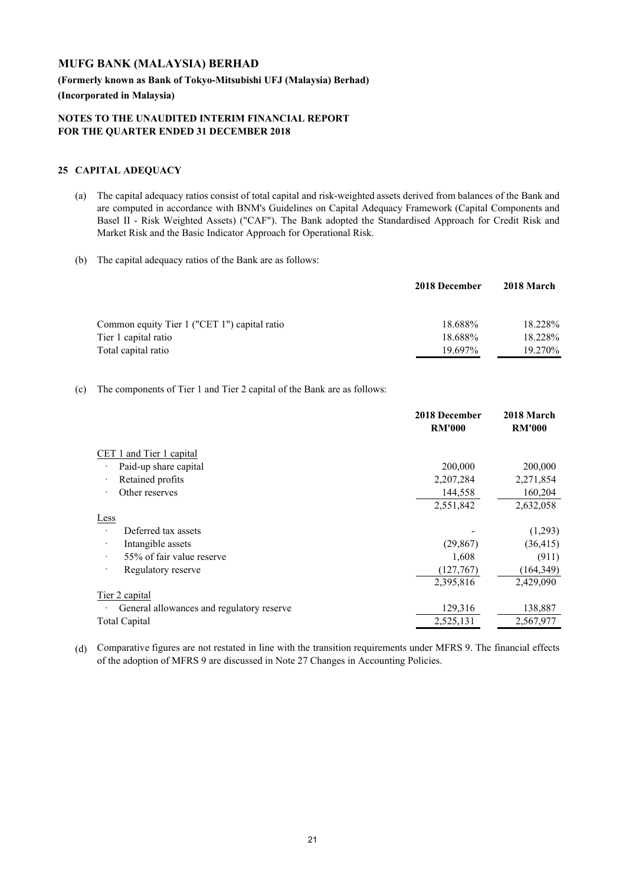**(Formerly known as Bank of Tokyo-Mitsubishi UFJ (Malaysia) Berhad) (Incorporated in Malaysia)**

### **NOTES TO THE UNAUDITED INTERIM FINANCIAL REPORT FOR THE QUARTER ENDED 31 DECEMBER 2018**

## **25 CAPITAL ADEQUACY**

- (a) The capital adequacy ratios consist of total capital and risk-weighted assets derived from balances of the Bank and are computed in accordance with BNM's Guidelines on Capital Adequacy Framework (Capital Components and Basel II - Risk Weighted Assets) ("CAF"). The Bank adopted the Standardised Approach for Credit Risk and Market Risk and the Basic Indicator Approach for Operational Risk.
- (b) The capital adequacy ratios of the Bank are as follows:

|                                              | 2018 December | 2018 March |
|----------------------------------------------|---------------|------------|
| Common equity Tier 1 ("CET 1") capital ratio | 18.688%       | 18.228%    |
| Tier 1 capital ratio                         | 18.688%       | 18.228%    |
| Total capital ratio                          | 19.697%       | 19.270\%   |

## (c) The components of Tier 1 and Tier 2 capital of the Bank are as follows:

|                                           | 2018 December<br><b>RM'000</b> | 2018 March<br><b>RM'000</b> |
|-------------------------------------------|--------------------------------|-----------------------------|
| CET 1 and Tier 1 capital                  |                                |                             |
| Paid-up share capital                     | 200,000                        | 200,000                     |
| Retained profits                          | 2,207,284                      | 2,271,854                   |
| Other reserves                            | 144,558                        | 160,204                     |
|                                           | 2,551,842                      | 2,632,058                   |
| Less                                      |                                |                             |
| Deferred tax assets                       |                                | (1,293)                     |
| Intangible assets                         | (29, 867)                      | (36, 415)                   |
| 55% of fair value reserve                 | 1,608                          | (911)                       |
| Regulatory reserve                        | (127,767)                      | (164, 349)                  |
|                                           | 2,395,816                      | 2,429,090                   |
| Tier 2 capital                            |                                |                             |
| General allowances and regulatory reserve | 129,316                        | 138,887                     |
| <b>Total Capital</b>                      | 2,525,131                      | 2,567,977                   |
|                                           |                                |                             |

(d) Comparative figures are not restated in line with the transition requirements under MFRS 9. The financial effects of the adoption of MFRS 9 are discussed in Note 27 Changes in Accounting Policies.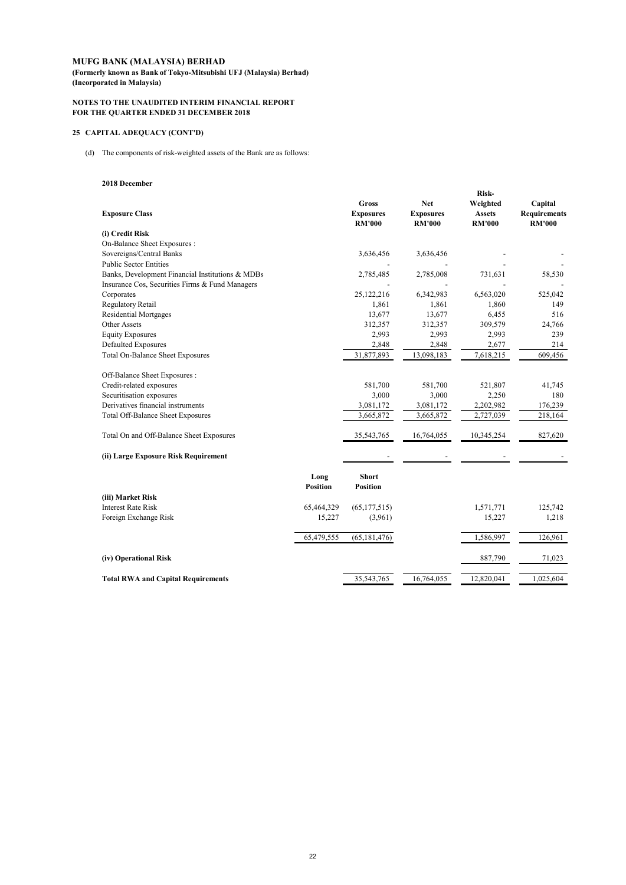**(Formerly known as Bank of Tokyo-Mitsubishi UFJ (Malaysia) Berhad) (Incorporated in Malaysia)**

#### **NOTES TO THE UNAUDITED INTERIM FINANCIAL REPORT FOR THE QUARTER ENDED 31 DECEMBER 2018**

### **25 CAPITAL ADEQUACY (CONT'D)**

(d) The components of risk-weighted assets of the Bank are as follows:

#### **2018 December**

| <b>Exposure Class</b>                            |                         | Gross<br><b>Exposures</b><br><b>RM'000</b> | Net<br><b>Exposures</b><br><b>RM'000</b> | Risk-<br>Weighted<br><b>Assets</b><br><b>RM'000</b> | Capital<br><b>Requirements</b><br><b>RM'000</b> |
|--------------------------------------------------|-------------------------|--------------------------------------------|------------------------------------------|-----------------------------------------------------|-------------------------------------------------|
| (i) Credit Risk                                  |                         |                                            |                                          |                                                     |                                                 |
| On-Balance Sheet Exposures :                     |                         |                                            |                                          |                                                     |                                                 |
| Sovereigns/Central Banks                         |                         | 3,636,456                                  | 3,636,456                                |                                                     |                                                 |
| <b>Public Sector Entities</b>                    |                         |                                            |                                          |                                                     |                                                 |
| Banks, Development Financial Institutions & MDBs |                         | 2,785,485                                  | 2,785,008                                | 731,631                                             | 58,530                                          |
| Insurance Cos, Securities Firms & Fund Managers  |                         |                                            |                                          |                                                     |                                                 |
| Corporates                                       |                         | 25,122,216                                 | 6,342,983                                | 6,563,020                                           | 525,042                                         |
| Regulatory Retail                                |                         | 1,861                                      | 1,861                                    | 1,860                                               | 149                                             |
| <b>Residential Mortgages</b>                     |                         | 13,677                                     | 13,677                                   | 6,455                                               | 516                                             |
| Other Assets                                     |                         | 312,357                                    | 312,357                                  | 309,579                                             | 24,766                                          |
| <b>Equity Exposures</b>                          |                         | 2,993                                      | 2,993                                    | 2,993                                               | 239                                             |
| Defaulted Exposures                              |                         | 2,848                                      | 2,848                                    | 2,677                                               | 214                                             |
| Total On-Balance Sheet Exposures                 |                         | 31,877,893                                 | 13,098,183                               | 7,618,215                                           | 609,456                                         |
| Off-Balance Sheet Exposures :                    |                         |                                            |                                          |                                                     |                                                 |
| Credit-related exposures                         |                         | 581,700                                    | 581,700                                  | 521,807                                             | 41,745                                          |
| Securitisation exposures                         |                         | 3,000                                      | 3,000                                    | 2,250                                               | 180                                             |
| Derivatives financial instruments                |                         | 3,081,172                                  | 3,081,172                                | 2,202,982                                           | 176,239                                         |
| Total Off-Balance Sheet Exposures                |                         | 3,665,872                                  | 3,665,872                                | 2,727,039                                           | 218,164                                         |
| Total On and Off-Balance Sheet Exposures         |                         | 35,543,765                                 | 16,764,055                               | 10,345,254                                          | 827,620                                         |
| (ii) Large Exposure Risk Requirement             |                         |                                            |                                          |                                                     |                                                 |
|                                                  | Long<br><b>Position</b> | <b>Short</b><br><b>Position</b>            |                                          |                                                     |                                                 |
| (iii) Market Risk                                |                         |                                            |                                          |                                                     |                                                 |
| <b>Interest Rate Risk</b>                        | 65,464,329              | (65, 177, 515)                             |                                          | 1,571,771                                           | 125,742                                         |
| Foreign Exchange Risk                            | 15,227                  | (3,961)                                    |                                          | 15,227                                              | 1,218                                           |
|                                                  | 65,479,555              | (65, 181, 476)                             |                                          | 1,586,997                                           | 126,961                                         |
|                                                  |                         |                                            |                                          |                                                     |                                                 |
| (iv) Operational Risk                            |                         |                                            |                                          | 887,790                                             | 71,023                                          |
| <b>Total RWA and Capital Requirements</b>        |                         | 35,543,765                                 | 16,764,055                               | 12,820,041                                          | 1,025,604                                       |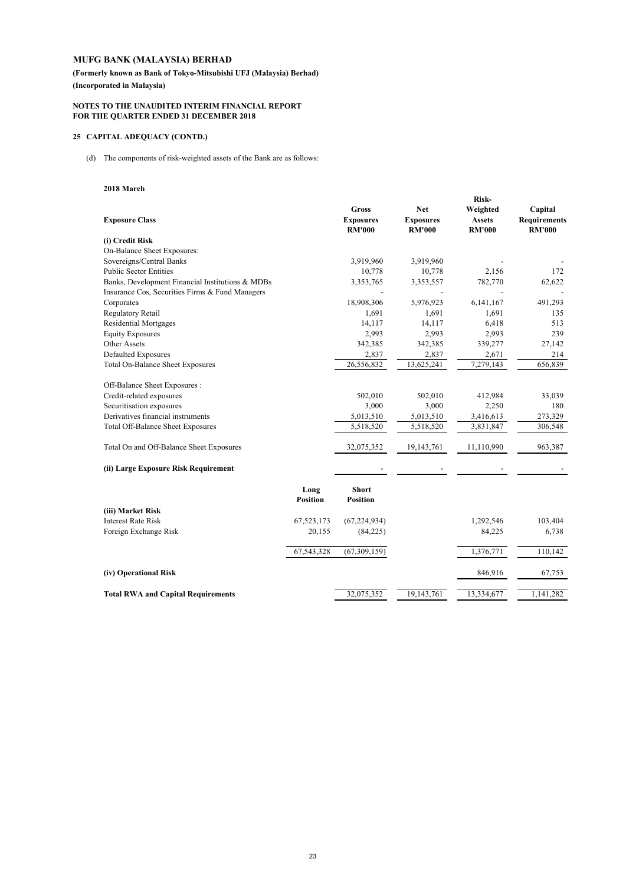**(Formerly known as Bank of Tokyo-Mitsubishi UFJ (Malaysia) Berhad) (Incorporated in Malaysia)**

#### **NOTES TO THE UNAUDITED INTERIM FINANCIAL REPORT FOR THE QUARTER ENDED 31 DECEMBER 2018**

### **25 CAPITAL ADEQUACY (CONTD.)**

(d) The components of risk-weighted assets of the Bank are as follows:

#### **2018 March**

|                                                  |                         |                                                   |                                                 | Risk-                                      |                                                 |
|--------------------------------------------------|-------------------------|---------------------------------------------------|-------------------------------------------------|--------------------------------------------|-------------------------------------------------|
| <b>Exposure Class</b>                            |                         | <b>Gross</b><br><b>Exposures</b><br><b>RM'000</b> | <b>Net</b><br><b>Exposures</b><br><b>RM'000</b> | Weighted<br><b>Assets</b><br><b>RM'000</b> | Capital<br><b>Requirements</b><br><b>RM'000</b> |
| (i) Credit Risk                                  |                         |                                                   |                                                 |                                            |                                                 |
| On-Balance Sheet Exposures:                      |                         |                                                   |                                                 |                                            |                                                 |
| Sovereigns/Central Banks                         |                         | 3,919,960                                         | 3,919,960                                       |                                            |                                                 |
| <b>Public Sector Entities</b>                    |                         | 10,778                                            | 10,778                                          | 2,156                                      | 172                                             |
| Banks, Development Financial Institutions & MDBs |                         | 3,353,765                                         | 3,353,557                                       | 782,770                                    | 62,622                                          |
| Insurance Cos, Securities Firms & Fund Managers  |                         |                                                   |                                                 |                                            |                                                 |
| Corporates                                       |                         | 18,908,306                                        | 5,976,923                                       | 6,141,167                                  | 491,293                                         |
| <b>Regulatory Retail</b>                         |                         | 1,691                                             | 1,691                                           | 1,691                                      | 135                                             |
| <b>Residential Mortgages</b>                     |                         | 14,117                                            | 14,117                                          | 6,418                                      | 513                                             |
| <b>Equity Exposures</b>                          |                         | 2,993                                             | 2,993                                           | 2,993                                      | 239                                             |
| Other Assets                                     |                         | 342,385                                           | 342,385                                         | 339,277                                    | 27,142                                          |
| <b>Defaulted Exposures</b>                       |                         | 2,837                                             | 2,837                                           | 2,671                                      | 214                                             |
| <b>Total On-Balance Sheet Exposures</b>          |                         | 26,556,832                                        | 13,625,241                                      | 7,279,143                                  | 656,839                                         |
| Off-Balance Sheet Exposures:                     |                         |                                                   |                                                 |                                            |                                                 |
| Credit-related exposures                         |                         | 502,010                                           | 502,010                                         | 412,984                                    | 33,039                                          |
| Securitisation exposures                         |                         | 3,000                                             | 3,000                                           | 2,250                                      | 180                                             |
| Derivatives financial instruments                |                         | 5,013,510                                         | 5,013,510                                       | 3,416,613                                  | 273,329                                         |
| Total Off-Balance Sheet Exposures                |                         | 5,518,520                                         | 5,518,520                                       | 3,831,847                                  | 306,548                                         |
| Total On and Off-Balance Sheet Exposures         |                         | 32,075,352                                        | 19,143,761                                      | 11,110,990                                 | 963,387                                         |
| (ii) Large Exposure Risk Requirement             |                         |                                                   |                                                 |                                            |                                                 |
|                                                  | Long<br><b>Position</b> | <b>Short</b><br><b>Position</b>                   |                                                 |                                            |                                                 |
| (iii) Market Risk                                |                         |                                                   |                                                 |                                            |                                                 |
| <b>Interest Rate Risk</b>                        | 67,523,173              | (67, 224, 934)                                    |                                                 | 1,292,546                                  | 103,404                                         |
| Foreign Exchange Risk                            | 20,155                  | (84,225)                                          |                                                 | 84,225                                     | 6,738                                           |
|                                                  | 67,543,328              | (67, 309, 159)                                    |                                                 | 1,376,771                                  | 110,142                                         |
| (iv) Operational Risk                            |                         |                                                   |                                                 | 846,916                                    | 67,753                                          |
| <b>Total RWA and Capital Requirements</b>        |                         | 32,075,352                                        | 19,143,761                                      | 13,334,677                                 | 1,141,282                                       |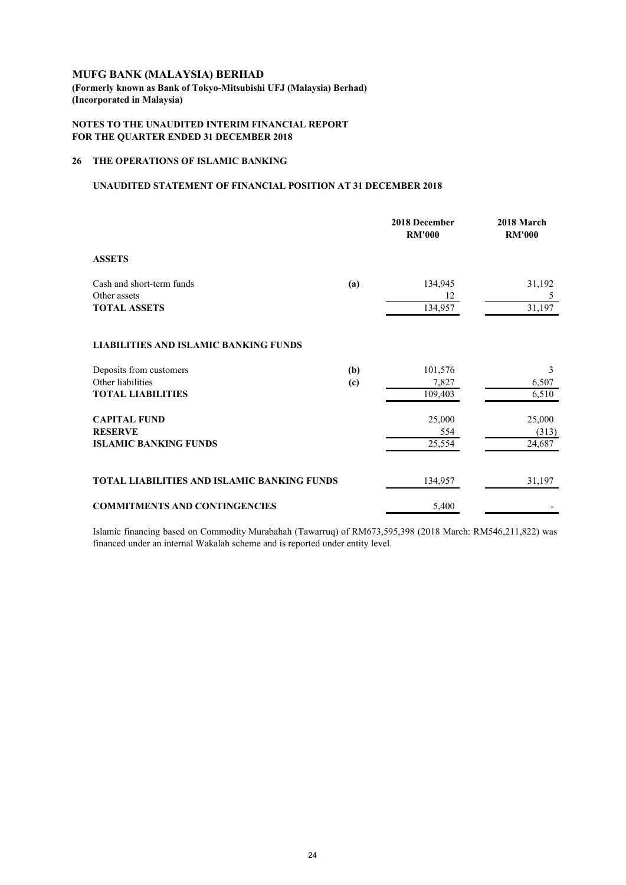**(Formerly known as Bank of Tokyo-Mitsubishi UFJ (Malaysia) Berhad) (Incorporated in Malaysia)**

## **NOTES TO THE UNAUDITED INTERIM FINANCIAL REPORT FOR THE QUARTER ENDED 31 DECEMBER 2018**

## **26 THE OPERATIONS OF ISLAMIC BANKING**

#### **UNAUDITED STATEMENT OF FINANCIAL POSITION AT 31 DECEMBER 2018**

|                                                                          |            | 2018 December<br><b>RM'000</b> | 2018 March<br><b>RM'000</b> |
|--------------------------------------------------------------------------|------------|--------------------------------|-----------------------------|
| <b>ASSETS</b>                                                            |            |                                |                             |
| Cash and short-term funds<br>Other assets<br><b>TOTAL ASSETS</b>         | (a)        | 134,945<br>12<br>134,957       | 31,192<br>5<br>31,197       |
| <b>LIABILITIES AND ISLAMIC BANKING FUNDS</b>                             |            |                                |                             |
| Deposits from customers<br>Other liabilities<br><b>TOTAL LIABILITIES</b> | (b)<br>(c) | 101,576<br>7,827<br>109,403    | 3<br>6,507<br>6,510         |
| <b>CAPITAL FUND</b><br><b>RESERVE</b><br><b>ISLAMIC BANKING FUNDS</b>    |            | 25,000<br>554<br>25,554        | 25,000<br>(313)<br>24,687   |
| TOTAL LIABILITIES AND ISLAMIC BANKING FUNDS                              |            | 134,957                        | 31,197                      |
| <b>COMMITMENTS AND CONTINGENCIES</b>                                     |            | 5,400                          |                             |

Islamic financing based on Commodity Murabahah (Tawarruq) of RM673,595,398 (2018 March: RM546,211,822) was financed under an internal Wakalah scheme and is reported under entity level.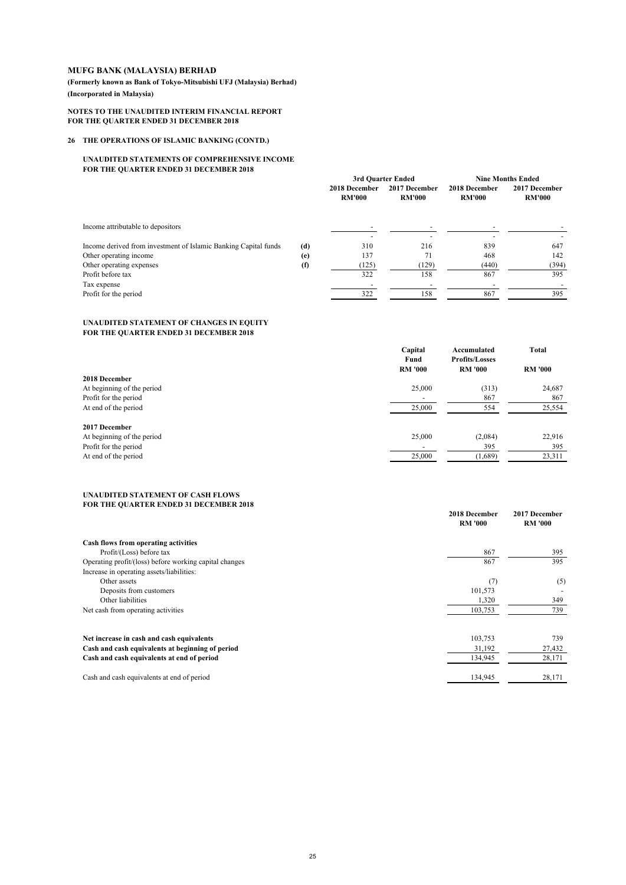**(Formerly known as Bank of Tokyo-Mitsubishi UFJ (Malaysia) Berhad) (Incorporated in Malaysia)**

#### **NOTES TO THE UNAUDITED INTERIM FINANCIAL REPORT FOR THE QUARTER ENDED 31 DECEMBER 2018**

#### **26 THE OPERATIONS OF ISLAMIC BANKING (CONTD.)**

#### **UNAUDITED STATEMENTS OF COMPREHENSIVE INCOME FOR THE QUARTER ENDED 31 DECEMBER 2018**

|                                                                 |     | 3rd Quarter Ended              |                                | <b>Nine Months Ended</b>       |                                |
|-----------------------------------------------------------------|-----|--------------------------------|--------------------------------|--------------------------------|--------------------------------|
|                                                                 |     | 2018 December<br><b>RM'000</b> | 2017 December<br><b>RM'000</b> | 2018 December<br><b>RM'000</b> | 2017 December<br><b>RM'000</b> |
| Income attributable to depositors                               |     |                                |                                |                                |                                |
| Income derived from investment of Islamic Banking Capital funds | (d) | 310                            | 216                            | 839                            | 647                            |
| Other operating income                                          | (e) | 137                            | 71                             | 468                            | 142                            |
| Other operating expenses                                        | (f) | (125)                          | (129)                          | (440)                          | (394)                          |
| Profit before tax                                               |     | 322                            | 158                            | 867                            | 395                            |
| Tax expense                                                     |     |                                |                                |                                |                                |
| Profit for the period                                           |     | 322                            | 158                            | 867                            | 395                            |

#### **UNAUDITED STATEMENT OF CHANGES IN EQUITY FOR THE QUARTER ENDED 31 DECEMBER 2018**

|                            | Capital<br>Fund          | Accumulated<br><b>Profits/Losses</b> | <b>Total</b>   |
|----------------------------|--------------------------|--------------------------------------|----------------|
|                            | <b>RM '000</b>           | <b>RM '000</b>                       | <b>RM '000</b> |
| 2018 December              |                          |                                      |                |
| At beginning of the period | 25,000                   | (313)                                | 24,687         |
| Profit for the period      | $\overline{\phantom{0}}$ | 867                                  | 867            |
| At end of the period       | 25,000                   | 554                                  | 25,554         |
| 2017 December              |                          |                                      |                |
| At beginning of the period | 25,000                   | (2,084)                              | 22,916         |
| Profit for the period      | $\overline{\phantom{0}}$ | 395                                  | 395            |
| At end of the period       | 25,000                   | (1,689)                              | 23,311         |

#### **UNAUDITED STATEMENT OF CASH FLOWS FOR THE QUARTER ENDED 31 DECEMBER 2018**

|                                                        | 2018 December<br><b>RM '000</b> | 2017 December<br><b>RM '000</b> |
|--------------------------------------------------------|---------------------------------|---------------------------------|
| Cash flows from operating activities                   |                                 |                                 |
| Profit/(Loss) before tax                               | 867                             | 395                             |
| Operating profit/(loss) before working capital changes | 867                             | 395                             |
| Increase in operating assets/liabilities:              |                                 |                                 |
| Other assets                                           | (7)                             | (5)                             |
| Deposits from customers                                | 101,573                         |                                 |
| Other liabilities                                      | 1,320                           | 349                             |
| Net cash from operating activities                     | 103,753                         | 739                             |
| Net increase in cash and cash equivalents              | 103,753                         | 739                             |
| Cash and cash equivalents at beginning of period       | 31,192                          | 27,432                          |
| Cash and cash equivalents at end of period             | 134,945                         | 28,171                          |
| Cash and cash equivalents at end of period             | 134,945                         | 28,171                          |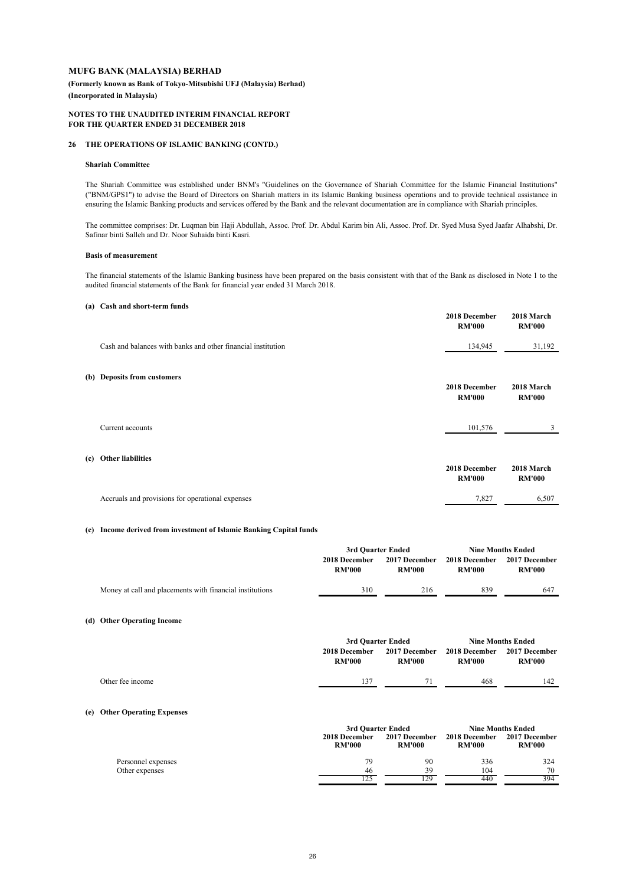**(Formerly known as Bank of Tokyo-Mitsubishi UFJ (Malaysia) Berhad)**

**(Incorporated in Malaysia)**

#### **NOTES TO THE UNAUDITED INTERIM FINANCIAL REPORT FOR THE QUARTER ENDED 31 DECEMBER 2018**

#### **26 THE OPERATIONS OF ISLAMIC BANKING (CONTD.)**

#### **Shariah Committee**

The Shariah Committee was established under BNM's "Guidelines on the Governance of Shariah Committee for the Islamic Financial Institutions" ("BNM/GPS1") to advise the Board of Directors on Shariah matters in its Islamic Banking business operations and to provide technical assistance in ensuring the Islamic Banking products and services offered by the Bank and the relevant documentation are in compliance with Shariah principles.

The committee comprises: Dr. Luqman bin Haji Abdullah, Assoc. Prof. Dr. Abdul Karim bin Ali, Assoc. Prof. Dr. Syed Musa Syed Jaafar Alhabshi, Dr. Safinar binti Salleh and Dr. Noor Suhaida binti Kasri.

#### **Basis of measurement**

The financial statements of the Islamic Banking business have been prepared on the basis consistent with that of the Bank as disclosed in Note 1 to the audited financial statements of the Bank for financial year ended 31 March 2018.

#### **(a) Cash and short-term funds**

|     |                                                              | 2018 December<br><b>RM'000</b> | 2018 March<br><b>RM'000</b> |
|-----|--------------------------------------------------------------|--------------------------------|-----------------------------|
|     | Cash and balances with banks and other financial institution | 134,945                        | 31,192                      |
|     | (b) Deposits from customers                                  | 2018 December<br><b>RM'000</b> | 2018 March<br><b>RM'000</b> |
|     | Current accounts                                             | 101,576                        | 3                           |
| (c) | <b>Other liabilities</b>                                     | 2018 December<br><b>RM'000</b> | 2018 March<br><b>RM'000</b> |
|     | Accruals and provisions for operational expenses             | 7,827                          | 6,507                       |

#### **(c) Income derived from investment of Islamic Banking Capital funds**

|                                                          | 3rd Quarter Ended              |                                | <b>Nine Months Ended</b>       |                                |  |
|----------------------------------------------------------|--------------------------------|--------------------------------|--------------------------------|--------------------------------|--|
|                                                          | 2018 December<br><b>RM'000</b> | 2017 December<br><b>RM'000</b> | 2018 December<br><b>RM'000</b> | 2017 December<br><b>RM'000</b> |  |
| Money at call and placements with financial institutions | 310                            | 216                            | 839                            | 647                            |  |
| (d) Other Operating Income                               |                                |                                |                                |                                |  |

|                  |                                | 3rd Quarter Ended                     |                                       | <b>Nine Months Ended</b>       |
|------------------|--------------------------------|---------------------------------------|---------------------------------------|--------------------------------|
|                  | 2018 December<br><b>RM'000</b> | <b>2017 December</b><br><b>RM'000</b> | <b>2018 December</b><br><b>RM'000</b> | 2017 December<br><b>RM'000</b> |
| Other fee income | 137                            |                                       | 468                                   | 142                            |
|                  |                                |                                       |                                       |                                |

#### **(e) Other Operating Expenses**

|                    |                                | 3rd Quarter Ended                     |                                | <b>Nine Months Ended</b>       |  |
|--------------------|--------------------------------|---------------------------------------|--------------------------------|--------------------------------|--|
|                    | 2018 December<br><b>RM'000</b> | <b>2017 December</b><br><b>RM'000</b> | 2018 December<br><b>RM'000</b> | 2017 December<br><b>RM'000</b> |  |
| Personnel expenses | 79                             | 90                                    | 336                            | 324                            |  |
| Other expenses     | 46                             | 39                                    | 104                            | 70                             |  |
|                    |                                | 29                                    | 440                            | 394                            |  |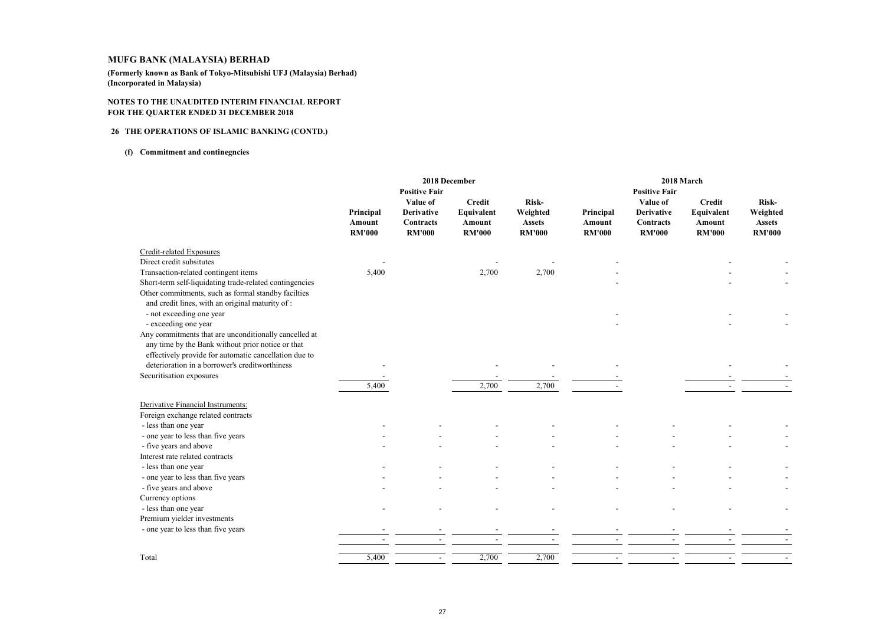**(Formerly known as Bank of Tokyo-Mitsubishi UFJ (Malaysia) Berhad)(Incorporated in Malaysia)**

#### **NOTES TO THE UNAUDITED INTERIM FINANCIAL REPORTFOR THE QUARTER ENDED 31 DECEMBER 2018**

#### **<sup>26</sup> THE OPERATIONS OF ISLAMIC BANKING (CONTD.)**

#### **(f) Commitment and continegncies**

|                                                                                                                                                                                                                       |                                      |                                                             | 2018 December                                          |                                                     |                                      |                                                             | 2018 March                                             |                                                     |
|-----------------------------------------------------------------------------------------------------------------------------------------------------------------------------------------------------------------------|--------------------------------------|-------------------------------------------------------------|--------------------------------------------------------|-----------------------------------------------------|--------------------------------------|-------------------------------------------------------------|--------------------------------------------------------|-----------------------------------------------------|
|                                                                                                                                                                                                                       |                                      | <b>Positive Fair</b>                                        |                                                        |                                                     |                                      | <b>Positive Fair</b>                                        |                                                        |                                                     |
|                                                                                                                                                                                                                       | Principal<br>Amount<br><b>RM'000</b> | Value of<br><b>Derivative</b><br>Contracts<br><b>RM'000</b> | <b>Credit</b><br>Equivalent<br>Amount<br><b>RM'000</b> | Risk-<br>Weighted<br><b>Assets</b><br><b>RM'000</b> | Principal<br>Amount<br><b>RM'000</b> | Value of<br><b>Derivative</b><br>Contracts<br><b>RM'000</b> | <b>Credit</b><br>Equivalent<br>Amount<br><b>RM'000</b> | Risk-<br>Weighted<br><b>Assets</b><br><b>RM'000</b> |
| Credit-related Exposures                                                                                                                                                                                              |                                      |                                                             |                                                        |                                                     |                                      |                                                             |                                                        |                                                     |
| Direct credit subsitutes                                                                                                                                                                                              |                                      |                                                             |                                                        |                                                     |                                      |                                                             |                                                        |                                                     |
| Transaction-related contingent items                                                                                                                                                                                  | 5,400                                |                                                             | 2,700                                                  | 2,700                                               |                                      |                                                             |                                                        |                                                     |
| Short-term self-liquidating trade-related contingencies                                                                                                                                                               |                                      |                                                             |                                                        |                                                     |                                      |                                                             |                                                        |                                                     |
| Other commitments, such as formal standby facilties<br>and credit lines, with an original maturity of:<br>- not exceeding one year                                                                                    |                                      |                                                             |                                                        |                                                     |                                      |                                                             |                                                        |                                                     |
| - exceeding one year                                                                                                                                                                                                  |                                      |                                                             |                                                        |                                                     |                                      |                                                             |                                                        |                                                     |
| Any commitments that are unconditionally cancelled at<br>any time by the Bank without prior notice or that<br>effectively provide for automatic cancellation due to<br>deterioration in a borrower's creditworthiness |                                      |                                                             |                                                        |                                                     |                                      |                                                             |                                                        |                                                     |
|                                                                                                                                                                                                                       |                                      |                                                             |                                                        |                                                     |                                      |                                                             |                                                        |                                                     |
| Securitisation exposures                                                                                                                                                                                              |                                      |                                                             |                                                        |                                                     |                                      |                                                             |                                                        |                                                     |
|                                                                                                                                                                                                                       | 5,400                                |                                                             | 2,700                                                  | 2,700                                               |                                      |                                                             |                                                        |                                                     |
| Derivative Financial Instruments:<br>Foreign exchange related contracts                                                                                                                                               |                                      |                                                             |                                                        |                                                     |                                      |                                                             |                                                        |                                                     |
| - less than one year                                                                                                                                                                                                  |                                      |                                                             |                                                        |                                                     |                                      |                                                             |                                                        |                                                     |
| - one year to less than five years                                                                                                                                                                                    |                                      |                                                             |                                                        |                                                     |                                      |                                                             |                                                        |                                                     |
| - five years and above                                                                                                                                                                                                |                                      |                                                             |                                                        |                                                     |                                      |                                                             |                                                        |                                                     |
| Interest rate related contracts                                                                                                                                                                                       |                                      |                                                             |                                                        |                                                     |                                      |                                                             |                                                        |                                                     |
| - less than one year                                                                                                                                                                                                  |                                      |                                                             |                                                        |                                                     |                                      |                                                             |                                                        |                                                     |
| - one year to less than five years                                                                                                                                                                                    |                                      |                                                             |                                                        |                                                     |                                      |                                                             |                                                        |                                                     |
| - five years and above                                                                                                                                                                                                |                                      |                                                             |                                                        |                                                     |                                      |                                                             |                                                        |                                                     |
| Currency options                                                                                                                                                                                                      |                                      |                                                             |                                                        |                                                     |                                      |                                                             |                                                        |                                                     |
| - less than one year                                                                                                                                                                                                  |                                      |                                                             |                                                        |                                                     |                                      |                                                             |                                                        |                                                     |
| Premium yielder investments                                                                                                                                                                                           |                                      |                                                             |                                                        |                                                     |                                      |                                                             |                                                        |                                                     |
| - one year to less than five years                                                                                                                                                                                    |                                      |                                                             |                                                        |                                                     |                                      |                                                             |                                                        |                                                     |
|                                                                                                                                                                                                                       |                                      |                                                             |                                                        |                                                     |                                      |                                                             |                                                        |                                                     |
|                                                                                                                                                                                                                       |                                      |                                                             |                                                        |                                                     |                                      |                                                             |                                                        |                                                     |
| Total                                                                                                                                                                                                                 | 5,400                                | $\overline{\phantom{a}}$                                    | 2,700                                                  | 2,700                                               |                                      |                                                             |                                                        |                                                     |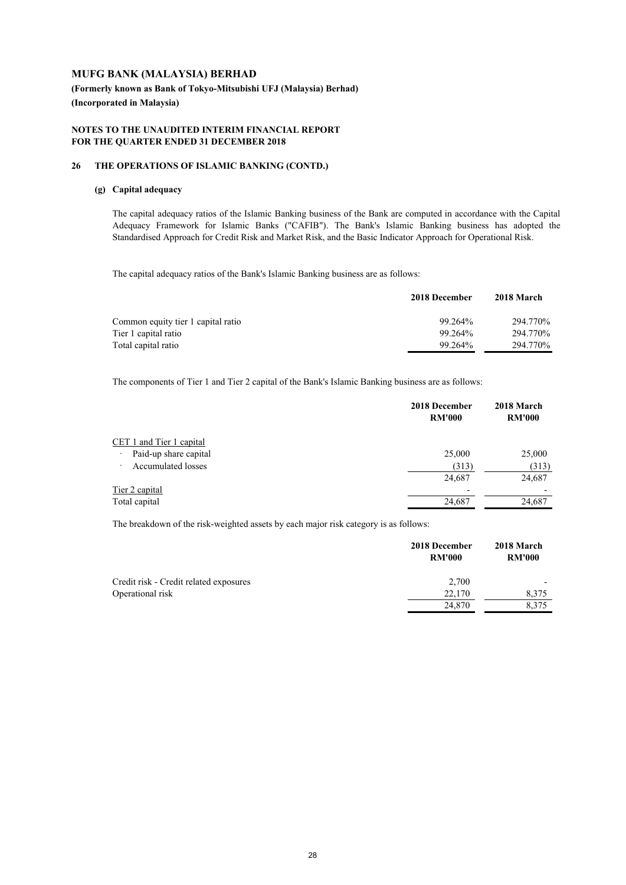## **(Formerly known as Bank of Tokyo-Mitsubishi UFJ (Malaysia) Berhad) (Incorporated in Malaysia)**

#### **NOTES TO THE UNAUDITED INTERIM FINANCIAL REPORT FOR THE QUARTER ENDED 31 DECEMBER 2018**

#### **26 THE OPERATIONS OF ISLAMIC BANKING (CONTD.)**

## **(g) Capital adequacy**

The capital adequacy ratios of the Islamic Banking business of the Bank are computed in accordance with the Capital Adequacy Framework for Islamic Banks ("CAFIB"). The Bank's Islamic Banking business has adopted the Standardised Approach for Credit Risk and Market Risk, and the Basic Indicator Approach for Operational Risk.

The capital adequacy ratios of the Bank's Islamic Banking business are as follows:

|                                    | 2018 December | 2018 March |
|------------------------------------|---------------|------------|
| Common equity tier 1 capital ratio | 99.264%       | 294.770\%  |
| Tier 1 capital ratio               | 99.264%       | 294.770\%  |
| Total capital ratio                | 99.264%       | 294.770\%  |

The components of Tier 1 and Tier 2 capital of the Bank's Islamic Banking business are as follows:

|                                      | 2018 December<br><b>RM'000</b> | 2018 March<br><b>RM'000</b> |
|--------------------------------------|--------------------------------|-----------------------------|
| CET 1 and Tier 1 capital             |                                |                             |
| Paid-up share capital<br>٠           | 25,000                         | 25,000                      |
| <b>Accumulated losses</b><br>$\cdot$ | (313)                          | (313)                       |
|                                      | 24,687                         | 24,687                      |
| Tier 2 capital                       | $\overline{\phantom{0}}$       |                             |
| Total capital                        | 24,687                         | 24,687                      |

The breakdown of the risk-weighted assets by each major risk category is as follows:

|                                        | 2018 December<br><b>RM'000</b> | 2018 March<br><b>RM'000</b> |
|----------------------------------------|--------------------------------|-----------------------------|
| Credit risk - Credit related exposures | 2,700                          |                             |
| Operational risk                       | 22.170                         | 8.375                       |
|                                        | 24.870                         | 8.375                       |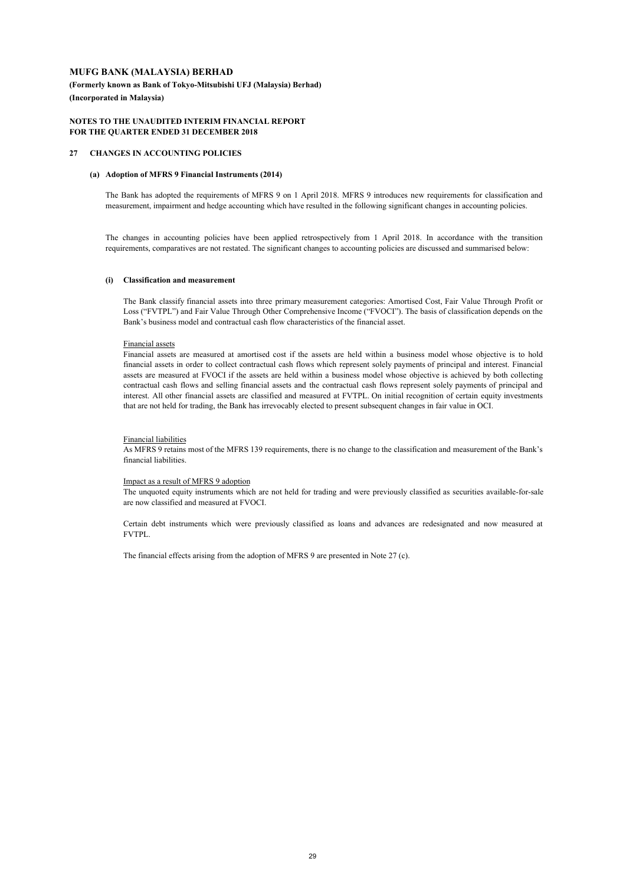**(Formerly known as Bank of Tokyo-Mitsubishi UFJ (Malaysia) Berhad) (Incorporated in Malaysia)**

#### **NOTES TO THE UNAUDITED INTERIM FINANCIAL REPORT FOR THE QUARTER ENDED 31 DECEMBER 2018**

#### **27 CHANGES IN ACCOUNTING POLICIES**

#### **(a) Adoption of MFRS 9 Financial Instruments (2014)**

The Bank has adopted the requirements of MFRS 9 on 1 April 2018. MFRS 9 introduces new requirements for classification and measurement, impairment and hedge accounting which have resulted in the following significant changes in accounting policies.

The changes in accounting policies have been applied retrospectively from 1 April 2018. In accordance with the transition requirements, comparatives are not restated. The significant changes to accounting policies are discussed and summarised below:

#### **(i) Classification and measurement**

The Bank classify financial assets into three primary measurement categories: Amortised Cost, Fair Value Through Profit or Loss ("FVTPL") and Fair Value Through Other Comprehensive Income ("FVOCI"). The basis of classification depends on the Bank's business model and contractual cash flow characteristics of the financial asset.

#### Financial assets

Financial assets are measured at amortised cost if the assets are held within a business model whose objective is to hold financial assets in order to collect contractual cash flows which represent solely payments of principal and interest. Financial assets are measured at FVOCI if the assets are held within a business model whose objective is achieved by both collecting contractual cash flows and selling financial assets and the contractual cash flows represent solely payments of principal and interest. All other financial assets are classified and measured at FVTPL. On initial recognition of certain equity investments that are not held for trading, the Bank has irrevocably elected to present subsequent changes in fair value in OCI.

#### Financial liabilities

As MFRS 9 retains most of the MFRS 139 requirements, there is no change to the classification and measurement of the Bank's financial liabilities.

#### Impact as a result of MFRS 9 adoption

The unquoted equity instruments which are not held for trading and were previously classified as securities available-for-sale are now classified and measured at FVOCI.

Certain debt instruments which were previously classified as loans and advances are redesignated and now measured at FVTPL.

The financial effects arising from the adoption of MFRS 9 are presented in Note 27 (c).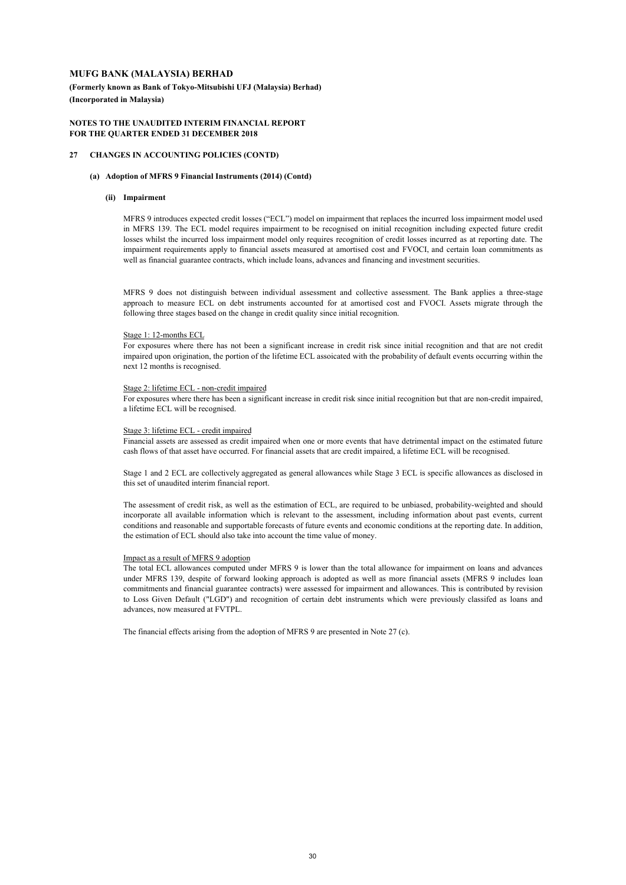**(Formerly known as Bank of Tokyo-Mitsubishi UFJ (Malaysia) Berhad) (Incorporated in Malaysia)**

#### **NOTES TO THE UNAUDITED INTERIM FINANCIAL REPORT FOR THE QUARTER ENDED 31 DECEMBER 2018**

#### **27 CHANGES IN ACCOUNTING POLICIES (CONTD)**

#### **(a) Adoption of MFRS 9 Financial Instruments (2014) (Contd)**

#### **(ii) Impairment**

MFRS 9 introduces expected credit losses ("ECL") model on impairment that replaces the incurred loss impairment model used in MFRS 139. The ECL model requires impairment to be recognised on initial recognition including expected future credit losses whilst the incurred loss impairment model only requires recognition of credit losses incurred as at reporting date. The impairment requirements apply to financial assets measured at amortised cost and FVOCI, and certain loan commitments as well as financial guarantee contracts, which include loans, advances and financing and investment securities.

MFRS 9 does not distinguish between individual assessment and collective assessment. The Bank applies a three-stage approach to measure ECL on debt instruments accounted for at amortised cost and FVOCI. Assets migrate through the following three stages based on the change in credit quality since initial recognition.

#### Stage 1: 12-months ECL

For exposures where there has not been a significant increase in credit risk since initial recognition and that are not credit impaired upon origination, the portion of the lifetime ECL assoicated with the probability of default events occurring within the next 12 months is recognised.

#### Stage 2: lifetime ECL - non-credit impaired

For exposures where there has been a significant increase in credit risk since initial recognition but that are non-credit impaired, a lifetime ECL will be recognised.

#### Stage 3: lifetime ECL - credit impaired

Financial assets are assessed as credit impaired when one or more events that have detrimental impact on the estimated future cash flows of that asset have occurred. For financial assets that are credit impaired, a lifetime ECL will be recognised.

Stage 1 and 2 ECL are collectively aggregated as general allowances while Stage 3 ECL is specific allowances as disclosed in this set of unaudited interim financial report.

The assessment of credit risk, as well as the estimation of ECL, are required to be unbiased, probability-weighted and should incorporate all available information which is relevant to the assessment, including information about past events, current conditions and reasonable and supportable forecasts of future events and economic conditions at the reporting date. In addition, the estimation of ECL should also take into account the time value of money.

#### Impact as a result of MFRS 9 adoption

The total ECL allowances computed under MFRS 9 is lower than the total allowance for impairment on loans and advances under MFRS 139, despite of forward looking approach is adopted as well as more financial assets (MFRS 9 includes loan commitments and financial guarantee contracts) were assessed for impairment and allowances. This is contributed by revision to Loss Given Default ("LGD") and recognition of certain debt instruments which were previously classifed as loans and advances, now measured at FVTPL.

The financial effects arising from the adoption of MFRS 9 are presented in Note 27 (c).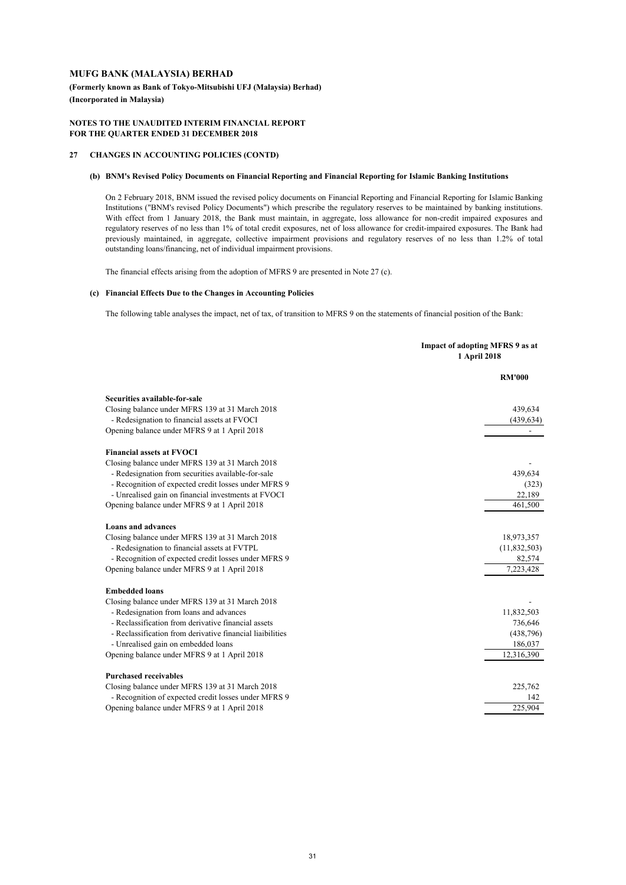**(Formerly known as Bank of Tokyo-Mitsubishi UFJ (Malaysia) Berhad) (Incorporated in Malaysia)**

#### **NOTES TO THE UNAUDITED INTERIM FINANCIAL REPORT FOR THE QUARTER ENDED 31 DECEMBER 2018**

#### **27 CHANGES IN ACCOUNTING POLICIES (CONTD)**

#### **(b) BNM's Revised Policy Documents on Financial Reporting and Financial Reporting for Islamic Banking Institutions**

On 2 February 2018, BNM issued the revised policy documents on Financial Reporting and Financial Reporting for Islamic Banking Institutions ("BNM's revised Policy Documents") which prescribe the regulatory reserves to be maintained by banking institutions. With effect from 1 January 2018, the Bank must maintain, in aggregate, loss allowance for non-credit impaired exposures and regulatory reserves of no less than 1% of total credit exposures, net of loss allowance for credit-impaired exposures. The Bank had previously maintained, in aggregate, collective impairment provisions and regulatory reserves of no less than 1.2% of total outstanding loans/financing, net of individual impairment provisions.

The financial effects arising from the adoption of MFRS 9 are presented in Note 27 (c).

#### **(c) Financial Effects Due to the Changes in Accounting Policies**

The following table analyses the impact, net of tax, of transition to MFRS 9 on the statements of financial position of the Bank:

| <b>RM'000</b><br>Securities available-for-sale<br>Closing balance under MFRS 139 at 31 March 2018<br>439,634<br>- Redesignation to financial assets at FVOCI<br>(439, 634)<br>Opening balance under MFRS 9 at 1 April 2018<br><b>Financial assets at FVOCI</b><br>Closing balance under MFRS 139 at 31 March 2018<br>- Redesignation from securities available-for-sale<br>439,634<br>- Recognition of expected credit losses under MFRS 9<br>- Unrealised gain on financial investments at FVOCI<br>22,189<br>Opening balance under MFRS 9 at 1 April 2018<br>461,500<br><b>Loans and advances</b><br>Closing balance under MFRS 139 at 31 March 2018<br>18,973,357<br>- Redesignation to financial assets at FVTPL<br>- Recognition of expected credit losses under MFRS 9<br>82,574<br>Opening balance under MFRS 9 at 1 April 2018<br>7,223,428<br><b>Embedded loans</b><br>Closing balance under MFRS 139 at 31 March 2018<br>- Redesignation from loans and advances<br>11,832,503<br>- Reclassification from derivative financial assets<br>736,646<br>- Reclassification from derivative financial liaibilities<br>- Unrealised gain on embedded loans<br>186,037<br>12,316,390<br>Opening balance under MFRS 9 at 1 April 2018<br><b>Purchased receivables</b><br>Closing balance under MFRS 139 at 31 March 2018<br>225,762<br>- Recognition of expected credit losses under MFRS 9<br>142<br>Opening balance under MFRS 9 at 1 April 2018<br>225,904 | Impact of adopting MFRS 9 as at<br>1 April 2018 |  |
|-----------------------------------------------------------------------------------------------------------------------------------------------------------------------------------------------------------------------------------------------------------------------------------------------------------------------------------------------------------------------------------------------------------------------------------------------------------------------------------------------------------------------------------------------------------------------------------------------------------------------------------------------------------------------------------------------------------------------------------------------------------------------------------------------------------------------------------------------------------------------------------------------------------------------------------------------------------------------------------------------------------------------------------------------------------------------------------------------------------------------------------------------------------------------------------------------------------------------------------------------------------------------------------------------------------------------------------------------------------------------------------------------------------------------------------------------------------------|-------------------------------------------------|--|
|                                                                                                                                                                                                                                                                                                                                                                                                                                                                                                                                                                                                                                                                                                                                                                                                                                                                                                                                                                                                                                                                                                                                                                                                                                                                                                                                                                                                                                                                 |                                                 |  |
|                                                                                                                                                                                                                                                                                                                                                                                                                                                                                                                                                                                                                                                                                                                                                                                                                                                                                                                                                                                                                                                                                                                                                                                                                                                                                                                                                                                                                                                                 |                                                 |  |
|                                                                                                                                                                                                                                                                                                                                                                                                                                                                                                                                                                                                                                                                                                                                                                                                                                                                                                                                                                                                                                                                                                                                                                                                                                                                                                                                                                                                                                                                 |                                                 |  |
|                                                                                                                                                                                                                                                                                                                                                                                                                                                                                                                                                                                                                                                                                                                                                                                                                                                                                                                                                                                                                                                                                                                                                                                                                                                                                                                                                                                                                                                                 |                                                 |  |
|                                                                                                                                                                                                                                                                                                                                                                                                                                                                                                                                                                                                                                                                                                                                                                                                                                                                                                                                                                                                                                                                                                                                                                                                                                                                                                                                                                                                                                                                 |                                                 |  |
|                                                                                                                                                                                                                                                                                                                                                                                                                                                                                                                                                                                                                                                                                                                                                                                                                                                                                                                                                                                                                                                                                                                                                                                                                                                                                                                                                                                                                                                                 |                                                 |  |
|                                                                                                                                                                                                                                                                                                                                                                                                                                                                                                                                                                                                                                                                                                                                                                                                                                                                                                                                                                                                                                                                                                                                                                                                                                                                                                                                                                                                                                                                 |                                                 |  |
|                                                                                                                                                                                                                                                                                                                                                                                                                                                                                                                                                                                                                                                                                                                                                                                                                                                                                                                                                                                                                                                                                                                                                                                                                                                                                                                                                                                                                                                                 |                                                 |  |
|                                                                                                                                                                                                                                                                                                                                                                                                                                                                                                                                                                                                                                                                                                                                                                                                                                                                                                                                                                                                                                                                                                                                                                                                                                                                                                                                                                                                                                                                 | (323)                                           |  |
|                                                                                                                                                                                                                                                                                                                                                                                                                                                                                                                                                                                                                                                                                                                                                                                                                                                                                                                                                                                                                                                                                                                                                                                                                                                                                                                                                                                                                                                                 |                                                 |  |
|                                                                                                                                                                                                                                                                                                                                                                                                                                                                                                                                                                                                                                                                                                                                                                                                                                                                                                                                                                                                                                                                                                                                                                                                                                                                                                                                                                                                                                                                 |                                                 |  |
|                                                                                                                                                                                                                                                                                                                                                                                                                                                                                                                                                                                                                                                                                                                                                                                                                                                                                                                                                                                                                                                                                                                                                                                                                                                                                                                                                                                                                                                                 |                                                 |  |
|                                                                                                                                                                                                                                                                                                                                                                                                                                                                                                                                                                                                                                                                                                                                                                                                                                                                                                                                                                                                                                                                                                                                                                                                                                                                                                                                                                                                                                                                 |                                                 |  |
|                                                                                                                                                                                                                                                                                                                                                                                                                                                                                                                                                                                                                                                                                                                                                                                                                                                                                                                                                                                                                                                                                                                                                                                                                                                                                                                                                                                                                                                                 | (11,832,503)                                    |  |
|                                                                                                                                                                                                                                                                                                                                                                                                                                                                                                                                                                                                                                                                                                                                                                                                                                                                                                                                                                                                                                                                                                                                                                                                                                                                                                                                                                                                                                                                 |                                                 |  |
|                                                                                                                                                                                                                                                                                                                                                                                                                                                                                                                                                                                                                                                                                                                                                                                                                                                                                                                                                                                                                                                                                                                                                                                                                                                                                                                                                                                                                                                                 |                                                 |  |
|                                                                                                                                                                                                                                                                                                                                                                                                                                                                                                                                                                                                                                                                                                                                                                                                                                                                                                                                                                                                                                                                                                                                                                                                                                                                                                                                                                                                                                                                 |                                                 |  |
|                                                                                                                                                                                                                                                                                                                                                                                                                                                                                                                                                                                                                                                                                                                                                                                                                                                                                                                                                                                                                                                                                                                                                                                                                                                                                                                                                                                                                                                                 |                                                 |  |
|                                                                                                                                                                                                                                                                                                                                                                                                                                                                                                                                                                                                                                                                                                                                                                                                                                                                                                                                                                                                                                                                                                                                                                                                                                                                                                                                                                                                                                                                 |                                                 |  |
|                                                                                                                                                                                                                                                                                                                                                                                                                                                                                                                                                                                                                                                                                                                                                                                                                                                                                                                                                                                                                                                                                                                                                                                                                                                                                                                                                                                                                                                                 |                                                 |  |
|                                                                                                                                                                                                                                                                                                                                                                                                                                                                                                                                                                                                                                                                                                                                                                                                                                                                                                                                                                                                                                                                                                                                                                                                                                                                                                                                                                                                                                                                 | (438,796)                                       |  |
|                                                                                                                                                                                                                                                                                                                                                                                                                                                                                                                                                                                                                                                                                                                                                                                                                                                                                                                                                                                                                                                                                                                                                                                                                                                                                                                                                                                                                                                                 |                                                 |  |
|                                                                                                                                                                                                                                                                                                                                                                                                                                                                                                                                                                                                                                                                                                                                                                                                                                                                                                                                                                                                                                                                                                                                                                                                                                                                                                                                                                                                                                                                 |                                                 |  |
|                                                                                                                                                                                                                                                                                                                                                                                                                                                                                                                                                                                                                                                                                                                                                                                                                                                                                                                                                                                                                                                                                                                                                                                                                                                                                                                                                                                                                                                                 |                                                 |  |
|                                                                                                                                                                                                                                                                                                                                                                                                                                                                                                                                                                                                                                                                                                                                                                                                                                                                                                                                                                                                                                                                                                                                                                                                                                                                                                                                                                                                                                                                 |                                                 |  |
|                                                                                                                                                                                                                                                                                                                                                                                                                                                                                                                                                                                                                                                                                                                                                                                                                                                                                                                                                                                                                                                                                                                                                                                                                                                                                                                                                                                                                                                                 |                                                 |  |
|                                                                                                                                                                                                                                                                                                                                                                                                                                                                                                                                                                                                                                                                                                                                                                                                                                                                                                                                                                                                                                                                                                                                                                                                                                                                                                                                                                                                                                                                 |                                                 |  |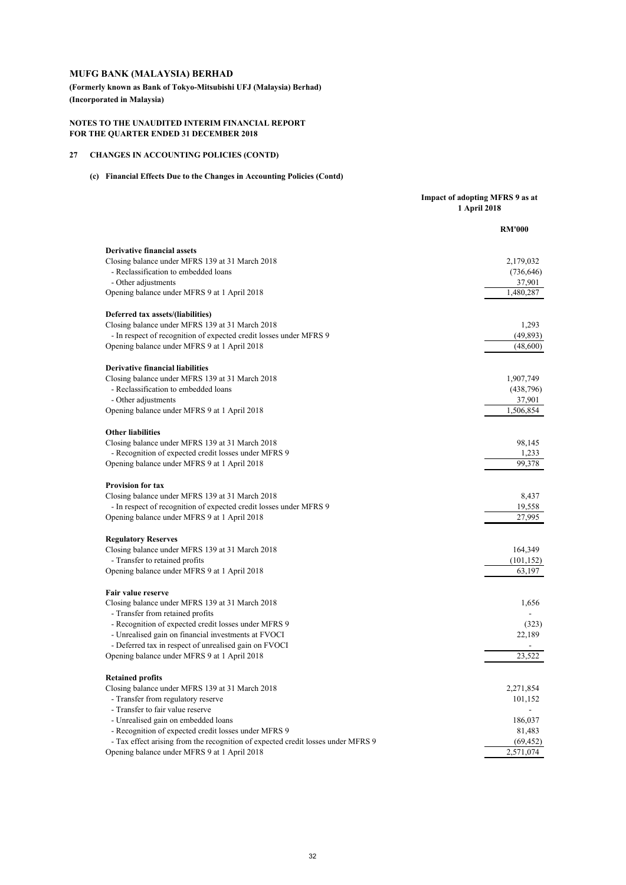**(Formerly known as Bank of Tokyo-Mitsubishi UFJ (Malaysia) Berhad) (Incorporated in Malaysia)**

#### **NOTES TO THE UNAUDITED INTERIM FINANCIAL REPORT FOR THE QUARTER ENDED 31 DECEMBER 2018**

### **27 CHANGES IN ACCOUNTING POLICIES (CONTD)**

### **(c) Financial Effects Due to the Changes in Accounting Policies (Contd)**

|                                                                                  | Impact of adopting MFRS 9 as at<br>1 April 2018 |
|----------------------------------------------------------------------------------|-------------------------------------------------|
|                                                                                  | <b>RM'000</b>                                   |
| <b>Derivative financial assets</b>                                               |                                                 |
| Closing balance under MFRS 139 at 31 March 2018                                  | 2,179,032                                       |
| - Reclassification to embedded loans                                             | (736, 646)                                      |
| - Other adjustments                                                              | 37,901                                          |
| Opening balance under MFRS 9 at 1 April 2018                                     | 1,480,287                                       |
| Deferred tax assets/(liabilities)                                                |                                                 |
| Closing balance under MFRS 139 at 31 March 2018                                  | 1,293                                           |
| - In respect of recognition of expected credit losses under MFRS 9               | (49, 893)                                       |
| Opening balance under MFRS 9 at 1 April 2018                                     | (48,600)                                        |
| <b>Derivative financial liabilities</b>                                          |                                                 |
| Closing balance under MFRS 139 at 31 March 2018                                  | 1,907,749                                       |
| - Reclassification to embedded loans                                             | (438, 796)                                      |
| - Other adjustments                                                              | 37,901                                          |
| Opening balance under MFRS 9 at 1 April 2018                                     | 1,506,854                                       |
| <b>Other liabilities</b>                                                         |                                                 |
| Closing balance under MFRS 139 at 31 March 2018                                  | 98,145                                          |
| - Recognition of expected credit losses under MFRS 9                             | 1,233                                           |
| Opening balance under MFRS 9 at 1 April 2018                                     | 99,378                                          |
| <b>Provision for tax</b>                                                         |                                                 |
| Closing balance under MFRS 139 at 31 March 2018                                  | 8,437                                           |
| - In respect of recognition of expected credit losses under MFRS 9               | 19,558                                          |
| Opening balance under MFRS 9 at 1 April 2018                                     | 27.995                                          |
| <b>Regulatory Reserves</b>                                                       |                                                 |
| Closing balance under MFRS 139 at 31 March 2018                                  | 164,349                                         |
| - Transfer to retained profits                                                   | (101, 152)                                      |
| Opening balance under MFRS 9 at 1 April 2018                                     | 63,197                                          |
| <b>Fair value reserve</b>                                                        |                                                 |
| Closing balance under MFRS 139 at 31 March 2018                                  | 1,656                                           |
| - Transfer from retained profits                                                 |                                                 |
| - Recognition of expected credit losses under MFRS 9                             | (323)                                           |
| - Unrealised gain on financial investments at FVOCI                              | 22,189                                          |
| - Deferred tax in respect of unrealised gain on FVOCI                            |                                                 |
| Opening balance under MFRS 9 at 1 April 2018                                     | 23,522                                          |
| <b>Retained profits</b>                                                          |                                                 |
| Closing balance under MFRS 139 at 31 March 2018                                  | 2,271,854                                       |
| - Transfer from regulatory reserve                                               | 101,152                                         |
| - Transfer to fair value reserve                                                 |                                                 |
| - Unrealised gain on embedded loans                                              | 186,037                                         |
| - Recognition of expected credit losses under MFRS 9                             | 81,483                                          |
| - Tax effect arising from the recognition of expected credit losses under MFRS 9 | (69, 452)                                       |
| Opening balance under MFRS 9 at 1 April 2018                                     | 2,571,074                                       |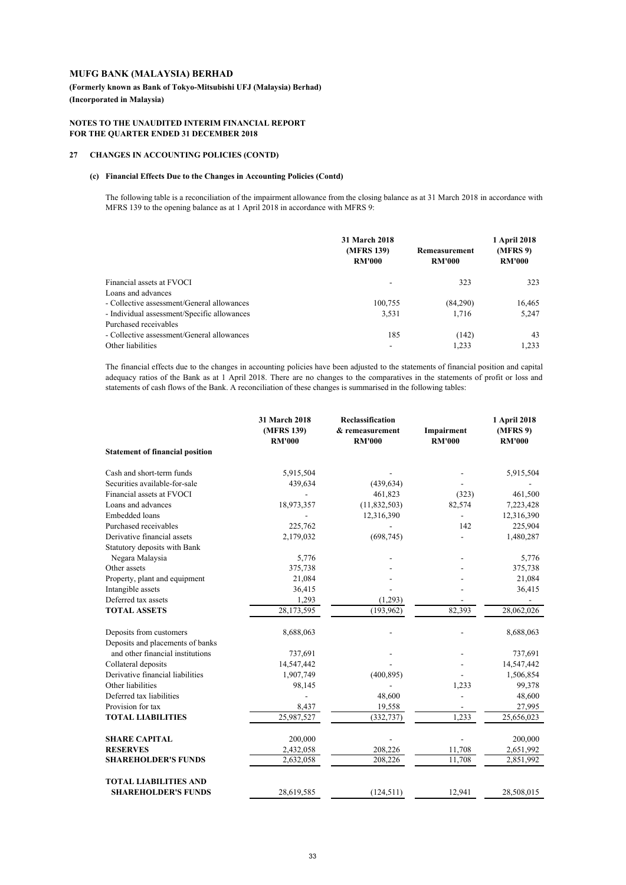**(Formerly known as Bank of Tokyo-Mitsubishi UFJ (Malaysia) Berhad) (Incorporated in Malaysia)**

#### **NOTES TO THE UNAUDITED INTERIM FINANCIAL REPORT FOR THE QUARTER ENDED 31 DECEMBER 2018**

### **27 CHANGES IN ACCOUNTING POLICIES (CONTD)**

#### **(c) Financial Effects Due to the Changes in Accounting Policies (Contd)**

The following table is a reconciliation of the impairment allowance from the closing balance as at 31 March 2018 in accordance with MFRS 139 to the opening balance as at 1 April 2018 in accordance with MFRS 9:

|                                             | 31 March 2018               |                                | 1 April 2018              |  |
|---------------------------------------------|-----------------------------|--------------------------------|---------------------------|--|
|                                             | (MFRS 139)<br><b>RM'000</b> | Remeasurement<br><b>RM'000</b> | (MFRS 9)<br><b>RM'000</b> |  |
| Financial assets at FVOCI                   |                             | 323                            | 323                       |  |
| Loans and advances                          |                             |                                |                           |  |
| - Collective assessment/General allowances  | 100,755                     | (84,290)                       | 16,465                    |  |
| - Individual assessment/Specific allowances | 3,531                       | 1,716                          | 5,247                     |  |
| Purchased receivables                       |                             |                                |                           |  |
| - Collective assessment/General allowances  | 185                         | (142)                          | 43                        |  |
| Other liabilities                           |                             | 1.233                          | 1.233                     |  |

The financial effects due to the changes in accounting policies have been adjusted to the statements of financial position and capital adequacy ratios of the Bank as at 1 April 2018. There are no changes to the comparatives in the statements of profit or loss and statements of cash flows of the Bank. A reconciliation of these changes is summarised in the following tables:

|                                        | 31 March 2018<br>(MFRS 139)<br><b>RM'000</b> | <b>Reclassification</b><br>& remeasurement<br><b>RM'000</b> | Impairment<br><b>RM'000</b> | 1 April 2018<br>(MFRS 9)<br><b>RM'000</b> |
|----------------------------------------|----------------------------------------------|-------------------------------------------------------------|-----------------------------|-------------------------------------------|
| <b>Statement of financial position</b> |                                              |                                                             |                             |                                           |
| Cash and short-term funds              | 5,915,504                                    |                                                             |                             | 5,915,504                                 |
| Securities available-for-sale          | 439,634                                      | (439, 634)                                                  |                             |                                           |
| Financial assets at FVOCI              |                                              | 461,823                                                     | (323)                       | 461,500                                   |
| Loans and advances                     | 18,973,357                                   | (11,832,503)                                                | 82,574                      | 7,223,428                                 |
| Embedded loans                         |                                              | 12,316,390                                                  |                             | 12,316,390                                |
| Purchased receivables                  | 225,762                                      |                                                             | 142                         | 225,904                                   |
| Derivative financial assets            | 2,179,032                                    | (698, 745)                                                  |                             | 1,480,287                                 |
| Statutory deposits with Bank           |                                              |                                                             |                             |                                           |
| Negara Malaysia                        | 5,776                                        |                                                             |                             | 5,776                                     |
| Other assets                           | 375,738                                      |                                                             |                             | 375,738                                   |
| Property, plant and equipment          | 21,084                                       |                                                             |                             | 21,084                                    |
| Intangible assets                      | 36,415                                       |                                                             |                             | 36,415                                    |
| Deferred tax assets                    | 1,293                                        | (1,293)                                                     |                             |                                           |
| <b>TOTAL ASSETS</b>                    | 28,173,595                                   | (193,962)                                                   | 82.393                      | 28,062,026                                |
| Deposits from customers                | 8,688,063                                    |                                                             |                             | 8,688,063                                 |
| Deposits and placements of banks       |                                              |                                                             |                             |                                           |
| and other financial institutions       | 737,691                                      |                                                             |                             | 737,691                                   |
| Collateral deposits                    | 14,547,442                                   |                                                             |                             | 14,547,442                                |
| Derivative financial liabilities       | 1,907,749                                    | (400, 895)                                                  |                             | 1,506,854                                 |
| Other liabilities                      | 98,145                                       |                                                             | 1,233                       | 99,378                                    |
| Deferred tax liabilities               |                                              | 48,600                                                      |                             | 48,600                                    |
| Provision for tax                      | 8,437                                        | 19,558                                                      |                             | 27,995                                    |
| <b>TOTAL LIABILITIES</b>               | 25,987,527                                   | (332, 737)                                                  | 1,233                       | 25,656,023                                |
| <b>SHARE CAPITAL</b>                   | 200,000                                      |                                                             |                             | 200,000                                   |
| <b>RESERVES</b>                        | 2,432,058                                    | 208,226                                                     | 11,708                      | 2,651,992                                 |
| <b>SHAREHOLDER'S FUNDS</b>             | 2,632,058                                    | 208,226                                                     | 11,708                      | 2,851,992                                 |
| <b>TOTAL LIABILITIES AND</b>           |                                              |                                                             |                             |                                           |
| <b>SHAREHOLDER'S FUNDS</b>             | 28,619,585                                   | (124, 511)                                                  | 12,941                      | 28,508,015                                |